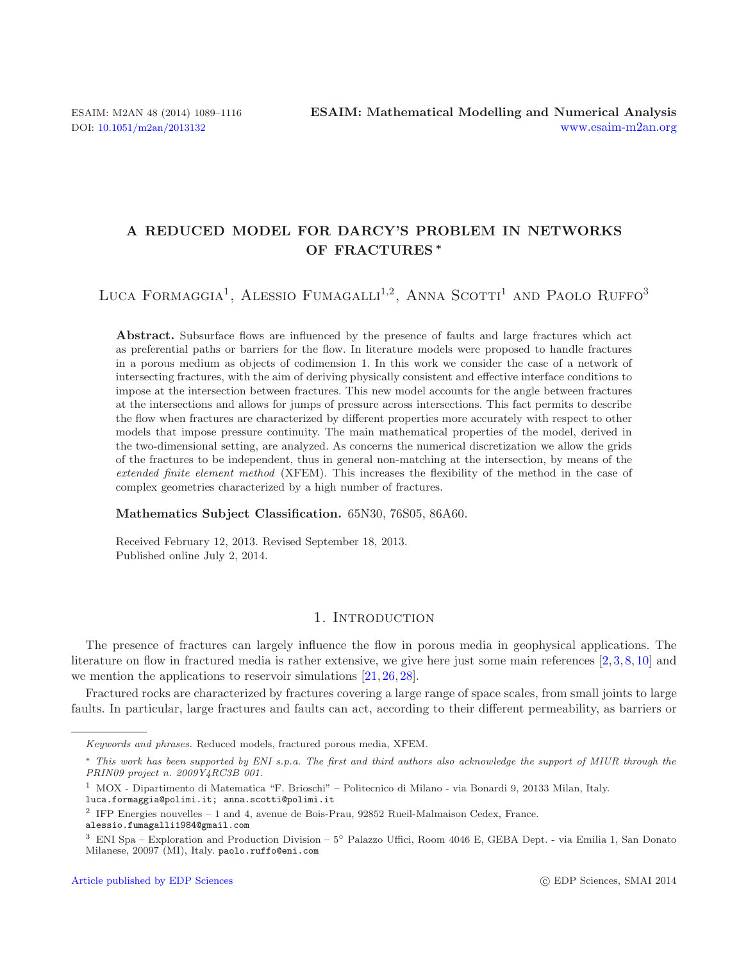# **A REDUCED MODEL FOR DARCY'S PROBLEM IN NETWORKS OF FRACTURES** *∗*

LUCA FORMAGGIA<sup>1</sup>, ALESSIO FUMAGALLI<sup>1,2</sup>, ANNA SCOTTI<sup>1</sup> AND PAOLO RUFFO<sup>3</sup>

Abstract. Subsurface flows are influenced by the presence of faults and large fractures which act as preferential paths or barriers for the flow. In literature models were proposed to handle fractures in a porous medium as objects of codimension 1. In this work we consider the case of a network of intersecting fractures, with the aim of deriving physically consistent and effective interface conditions to impose at the intersection between fractures. This new model accounts for the angle between fractures at the intersections and allows for jumps of pressure across intersections. This fact permits to describe the flow when fractures are characterized by different properties more accurately with respect to other models that impose pressure continuity. The main mathematical properties of the model, derived in the two-dimensional setting, are analyzed. As concerns the numerical discretization we allow the grids of the fractures to be independent, thus in general non-matching at the intersection, by means of the *extended finite element method* (XFEM). This increases the flexibility of the method in the case of complex geometries characterized by a high number of fractures.

**Mathematics Subject Classification.** 65N30, 76S05, 86A60.

Received February 12, 2013. Revised September 18, 2013. Published online July 2, 2014.

# 1. INTRODUCTION

The presence of fractures can largely influence the flow in porous media in geophysical applications. The literature on flow in fractured media is rather extensive, we give here just some main references [\[2](#page-26-0), [3,](#page-26-1) [8,](#page-26-2) [10\]](#page-27-0) and we mention the applications to reservoir simulations [\[21](#page-27-1), [26](#page-27-2), [28](#page-27-3)].

Fractured rocks are characterized by fractures covering a large range of space scales, from small joints to large faults. In particular, large fractures and faults can act, according to their different permeability, as barriers or

Keywords and phrases. Reduced models, fractured porous media, XFEM.

<sup>∗</sup> This work has been supported by ENI s.p.a. The first and third authors also acknowledge the support of MIUR through the PRIN09 project n. 2009Y4RC3B 001.

<sup>1</sup> MOX - Dipartimento di Matematica "F. Brioschi" – Politecnico di Milano - via Bonardi 9, 20133 Milan, Italy.

<sup>&</sup>lt;sup>2</sup> IFP Energies nouvelles – 1 and 4, avenue de Bois-Prau, 92852 Rueil-Malmaison Cedex, France.

<sup>&</sup>lt;sup>3</sup> ENI Spa – Exploration and Production Division – 5◦ Palazzo Uffici, Room 4046 E, GEBA Dept. - via Emilia 1, San Donato Milanese, 20097 (MI), Italy. paolo.ruffo@eni.com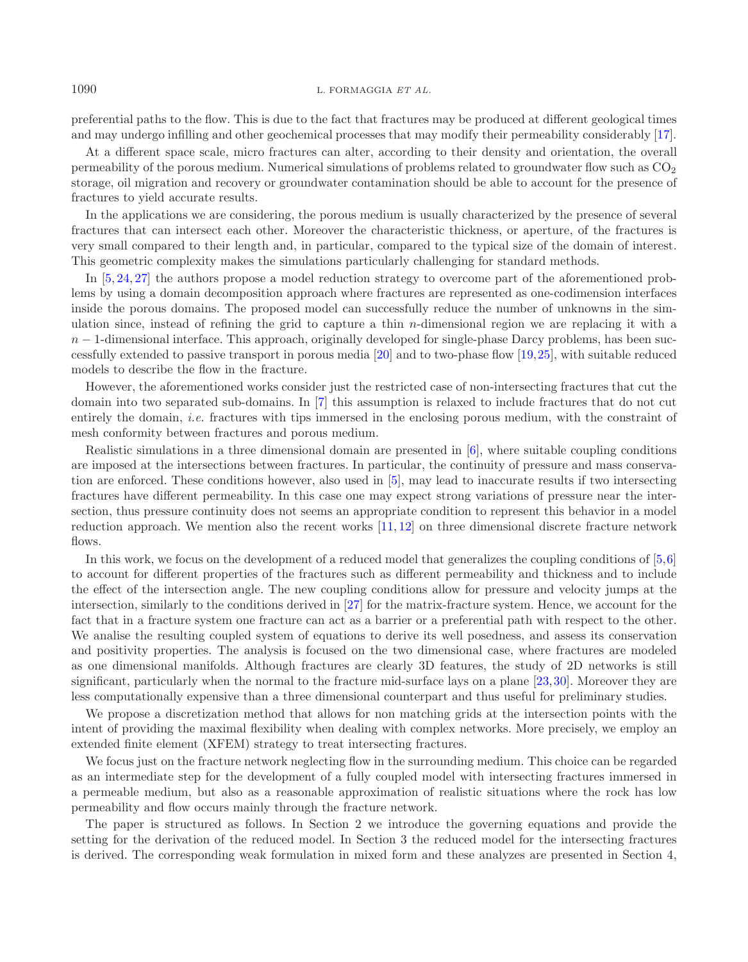preferential paths to the flow. This is due to the fact that fractures may be produced at different geological times and may undergo infilling and other geochemical processes that may modify their permeability considerably [\[17](#page-27-4)].

At a different space scale, micro fractures can alter, according to their density and orientation, the overall permeability of the porous medium. Numerical simulations of problems related to groundwater flow such as  $CO<sub>2</sub>$ storage, oil migration and recovery or groundwater contamination should be able to account for the presence of fractures to yield accurate results.

In the applications we are considering, the porous medium is usually characterized by the presence of several fractures that can intersect each other. Moreover the characteristic thickness, or aperture, of the fractures is very small compared to their length and, in particular, compared to the typical size of the domain of interest. This geometric complexity makes the simulations particularly challenging for standard methods.

In [\[5,](#page-26-3) [24](#page-27-5), [27](#page-27-6)] the authors propose a model reduction strategy to overcome part of the aforementioned problems by using a domain decomposition approach where fractures are represented as one-codimension interfaces inside the porous domains. The proposed model can successfully reduce the number of unknowns in the simulation since, instead of refining the grid to capture a thin *n*-dimensional region we are replacing it with a  $n-1$ -dimensional interface. This approach, originally developed for single-phase Darcy problems, has been successfully extended to passive transport in porous media [\[20\]](#page-27-7) and to two-phase flow [\[19,](#page-27-8)[25](#page-27-9)], with suitable reduced models to describe the flow in the fracture.

However, the aforementioned works consider just the restricted case of non-intersecting fractures that cut the domain into two separated sub-domains. In [\[7](#page-26-4)] this assumption is relaxed to include fractures that do not cut entirely the domain, *i.e.* fractures with tips immersed in the enclosing porous medium, with the constraint of mesh conformity between fractures and porous medium.

Realistic simulations in a three dimensional domain are presented in [\[6](#page-26-5)], where suitable coupling conditions are imposed at the intersections between fractures. In particular, the continuity of pressure and mass conservation are enforced. These conditions however, also used in [\[5](#page-26-3)], may lead to inaccurate results if two intersecting fractures have different permeability. In this case one may expect strong variations of pressure near the intersection, thus pressure continuity does not seems an appropriate condition to represent this behavior in a model reduction approach. We mention also the recent works [\[11](#page-27-10), [12\]](#page-27-11) on three dimensional discrete fracture network flows.

In this work, we focus on the development of a reduced model that generalizes the coupling conditions of [\[5](#page-26-3)[,6\]](#page-26-5) to account for different properties of the fractures such as different permeability and thickness and to include the effect of the intersection angle. The new coupling conditions allow for pressure and velocity jumps at the intersection, similarly to the conditions derived in [\[27](#page-27-6)] for the matrix-fracture system. Hence, we account for the fact that in a fracture system one fracture can act as a barrier or a preferential path with respect to the other. We analise the resulting coupled system of equations to derive its well posedness, and assess its conservation and positivity properties. The analysis is focused on the two dimensional case, where fractures are modeled as one dimensional manifolds. Although fractures are clearly 3D features, the study of 2D networks is still significant, particularly when the normal to the fracture mid-surface lays on a plane [\[23,](#page-27-12)[30\]](#page-27-13). Moreover they are less computationally expensive than a three dimensional counterpart and thus useful for preliminary studies.

We propose a discretization method that allows for non matching grids at the intersection points with the intent of providing the maximal flexibility when dealing with complex networks. More precisely, we employ an extended finite element (XFEM) strategy to treat intersecting fractures.

We focus just on the fracture network neglecting flow in the surrounding medium. This choice can be regarded as an intermediate step for the development of a fully coupled model with intersecting fractures immersed in a permeable medium, but also as a reasonable approximation of realistic situations where the rock has low permeability and flow occurs mainly through the fracture network.

The paper is structured as follows. In Section 2 we introduce the governing equations and provide the setting for the derivation of the reduced model. In Section 3 the reduced model for the intersecting fractures is derived. The corresponding weak formulation in mixed form and these analyzes are presented in Section 4,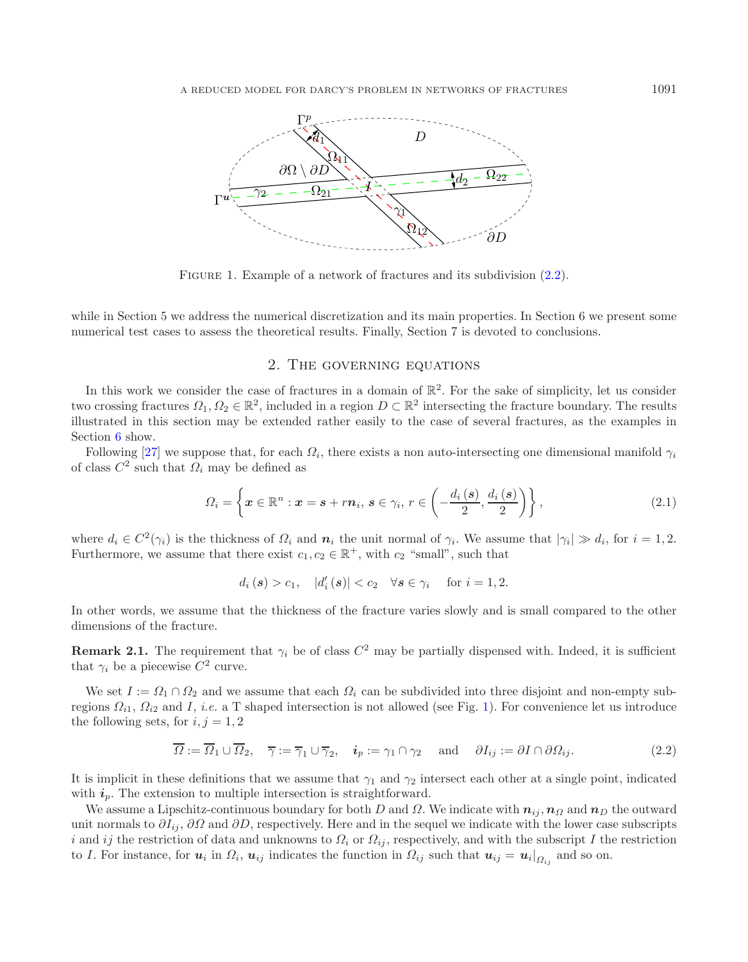<span id="page-2-1"></span>

FIGURE 1. Example of a network of fractures and its subdivision  $(2.2)$ .

while in Section 5 we address the numerical discretization and its main properties. In Section 6 we present some numerical test cases to assess the theoretical results. Finally, Section 7 is devoted to conclusions.

### 2. The governing equations

In this work we consider the case of fractures in a domain of  $\mathbb{R}^2$ . For the sake of simplicity, let us consider two crossing fractures  $\Omega_1, \Omega_2 \in \mathbb{R}^2$ , included in a region  $D \subset \mathbb{R}^2$  intersecting the fracture boundary. The results illustrated in this section may be extended rather easily to the case of several fractures, as the examples in Section [6](#page-19-0) show.

Following [\[27](#page-27-6)] we suppose that, for each  $\Omega_i$ , there exists a non auto-intersecting one dimensional manifold  $\gamma_i$ of class  $C^2$  such that  $\Omega_i$  may be defined as

$$
\Omega_i = \left\{ \boldsymbol{x} \in \mathbb{R}^n : \boldsymbol{x} = \boldsymbol{s} + r\boldsymbol{n}_i, \, \boldsymbol{s} \in \gamma_i, \, r \in \left( -\frac{d_i(\boldsymbol{s})}{2}, \frac{d_i(\boldsymbol{s})}{2} \right) \right\},\tag{2.1}
$$

where  $d_i \in C^2(\gamma_i)$  is the thickness of  $\Omega_i$  and  $n_i$  the unit normal of  $\gamma_i$ . We assume that  $|\gamma_i| \gg d_i$ , for  $i = 1, 2$ . Furthermore, we assume that there exist  $c_1, c_2 \in \mathbb{R}^+$ , with  $c_2$  "small", such that

<span id="page-2-0"></span>
$$
d_i(s) > c_1, |d'_i(s)| < c_2 \forall s \in \gamma_i \text{ for } i = 1, 2.
$$

In other words, we assume that the thickness of the fracture varies slowly and is small compared to the other dimensions of the fracture.

**Remark 2.1.** The requirement that  $\gamma_i$  be of class  $C^2$  may be partially dispensed with. Indeed, it is sufficient that  $\gamma_i$  be a piecewise  $C^2$  curve.

We set  $I := \Omega_1 \cap \Omega_2$  and we assume that each  $\Omega_i$  can be subdivided into three disjoint and non-empty subregions  $\Omega_{i1}$ ,  $\Omega_{i2}$  and I, *i.e.* a T shaped intersection is not allowed (see Fig. [1\)](#page-2-1). For convenience let us introduce the following sets, for  $i, j = 1, 2$ 

$$
\overline{\Omega} := \overline{\Omega}_1 \cup \overline{\Omega}_2, \quad \overline{\gamma} := \overline{\gamma}_1 \cup \overline{\gamma}_2, \quad \mathbf{i}_p := \gamma_1 \cap \gamma_2 \quad \text{and} \quad \partial I_{ij} := \partial I \cap \partial \Omega_{ij}.
$$
 (2.2)

It is implicit in these definitions that we assume that  $\gamma_1$  and  $\gamma_2$  intersect each other at a single point, indicated with  $i_p$ . The extension to multiple intersection is straightforward.

We assume a Lipschitz-continuous boundary for both D and  $\Omega$ . We indicate with  $n_{ij}$ ,  $n_{\Omega}$  and  $n_D$  the outward unit normals to  $\partial I_{ij}$ ,  $\partial \Omega$  and  $\partial D$ , respectively. Here and in the sequel we indicate with the lower case subscripts i and ij the restriction of data and unknowns to  $\Omega_i$  or  $\Omega_{ij}$ , respectively, and with the subscript I the restriction to I. For instance, for  $u_i$  in  $\Omega_i$ ,  $u_{ij}$  indicates the function in  $\Omega_{ij}$  such that  $u_{ij} = u_i|_{\Omega_{ij}}$  and so on.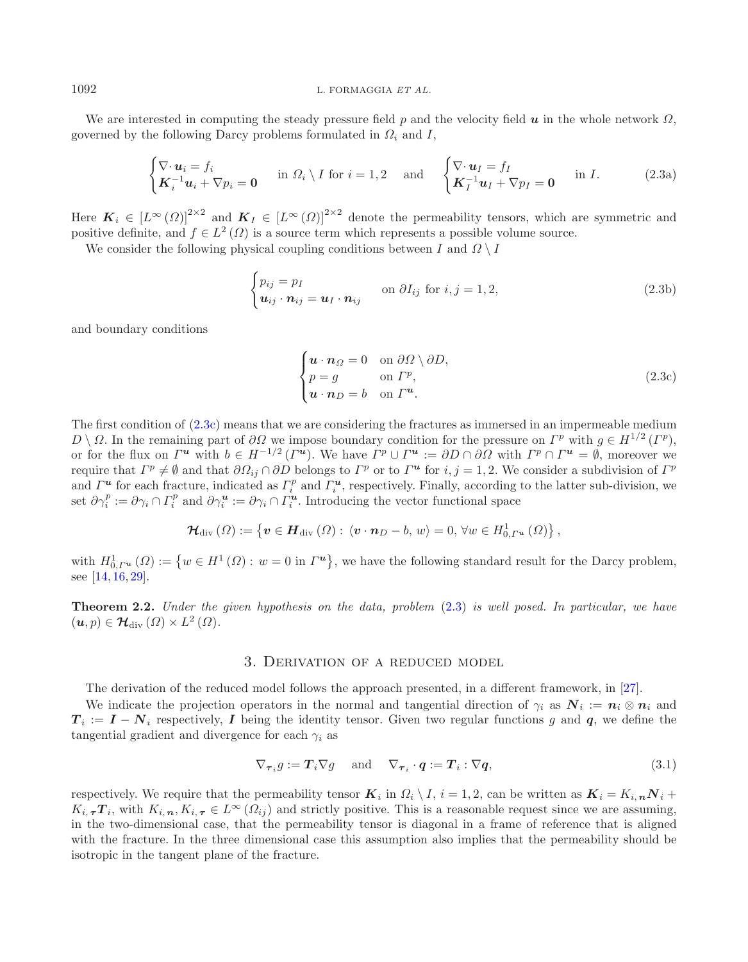We are interested in computing the steady pressure field <sup>p</sup> and the velocity field *u* in the whole network <sup>Ω</sup>, governed by the following Darcy problems formulated in  $\Omega_i$  and I,

<span id="page-3-1"></span>
$$
\begin{cases} \nabla \cdot \boldsymbol{u}_i = f_i \\ \boldsymbol{K}_i^{-1} \boldsymbol{u}_i + \nabla p_i = \mathbf{0} \end{cases} \text{ in } \Omega_i \setminus I \text{ for } i = 1, 2 \text{ and } \begin{cases} \nabla \cdot \boldsymbol{u}_I = f_I \\ \boldsymbol{K}_I^{-1} \boldsymbol{u}_I + \nabla p_I = \mathbf{0} \end{cases} \text{ in } I. \tag{2.3a}
$$

Here  $K_i \in [L^{\infty}(\Omega)]^{2\times 2}$  and  $K_I \in [L^{\infty}(\Omega)]^{2\times 2}$  denote the permeability tensors, which are symmetric and positive definite, and  $f \in L^2(\Omega)$  is a source term which represents a possible volume source.

We consider the following physical coupling conditions between I and  $\Omega \setminus I$ 

<span id="page-3-3"></span><span id="page-3-2"></span>
$$
\begin{cases} p_{ij} = p_I \\ \mathbf{u}_{ij} \cdot \mathbf{n}_{ij} = \mathbf{u}_I \cdot \mathbf{n}_{ij} \end{cases} \text{ on } \partial I_{ij} \text{ for } i, j = 1, 2,
$$
 (2.3b)

and boundary conditions

<span id="page-3-0"></span>
$$
\begin{cases}\n\mathbf{u} \cdot \mathbf{n}_{\Omega} = 0 & \text{on } \partial \Omega \setminus \partial D, \\
p = g & \text{on } \Gamma^p, \\
\mathbf{u} \cdot \mathbf{n}_D = b & \text{on } \Gamma^{\mathbf{u}}.\n\end{cases}
$$
\n(2.3c)

The first condition of [\(2.3c\)](#page-3-0) means that we are considering the fractures as immersed in an impermeable medium  $D \setminus \Omega$ . In the remaining part of  $\partial \Omega$  we impose boundary condition for the pressure on  $\Gamma^p$  with  $g \in H^{1/2}(\Gamma^p)$ , or for the flux on  $\Gamma^u$  with  $b \in H^{-1/2}(\Gamma^u)$ . We have  $\Gamma^p \cup \Gamma^u := \partial D \cap \partial \Omega$  with  $\Gamma^p \cap \Gamma^u = \emptyset$ , moreover we require that  $\Gamma^p \neq \emptyset$  and that  $\partial \Omega_{ij} \cap \partial D$  belongs to  $\Gamma^p$  or to  $\Gamma^u$  for  $i, j = 1, 2$ . We consider a subdivision of  $\Gamma^p$ and  $\Gamma^u$  for each fracture, indicated as  $\Gamma_i^p$  and  $\Gamma_i^u$ , respectively. Finally, according to the latter sub-division, we set  $\partial \gamma_i^p := \partial \gamma_i \cap \Gamma_i^p$  and  $\partial \gamma_i^u := \partial \gamma_i \cap \Gamma_i^u$ . Introducing the vector functional space

$$
\mathcal{H}_{\text{div}}\left(\varOmega\right) := \left\{ \boldsymbol{v} \in \boldsymbol{H}_{\text{div}}\left(\varOmega\right): \ \left\langle \boldsymbol{v} \cdot \boldsymbol{n}_{D} - b, \ w \right\rangle = 0, \ \forall w \in H_{0,\Gamma^{u}}^{1}\left(\varOmega\right) \right\},
$$

with  $H^1_{0,\Gamma^u}(\Omega) := \{w \in H^1(\Omega) : w = 0 \text{ in } \Gamma^u\}$ , we have the following standard result for the Darcy problem, see [\[14,](#page-27-14) [16,](#page-27-15) [29\]](#page-27-16).

<span id="page-3-4"></span>**Theorem 2.2.** *Under the given hypothesis on the data, problem* [\(2.3\)](#page-3-1) *is well posed. In particular, we have*  $(\mathbf{u}, p) \in \mathcal{H}_{\text{div}}(\Omega) \times L^2(\Omega).$ 

# 3. Derivation of a reduced model

The derivation of the reduced model follows the approach presented, in a different framework, in [\[27](#page-27-6)].

We indicate the projection operators in the normal and tangential direction of  $\gamma_i$  as  $\mathbf{N}_i := \mathbf{n}_i \otimes \mathbf{n}_i$  and  $T_i := I - N_i$  respectively, *I* being the identity tensor. Given two regular functions g and q, we define the tangential gradient and divergence for each  $\gamma_i$  as

$$
\nabla_{\boldsymbol{\tau}_i} g := \boldsymbol{T}_i \nabla g \quad \text{and} \quad \nabla_{\boldsymbol{\tau}_i} \cdot \boldsymbol{q} := \boldsymbol{T}_i : \nabla \boldsymbol{q}, \tag{3.1}
$$

respectively. We require that the permeability tensor  $\mathbf{K}_i$  in  $\Omega_i \setminus I$ ,  $i = 1, 2$ , can be written as  $\mathbf{K}_i = K_{i,n} \mathbf{N}_i +$  $K_{i,\tau}$ *T*<sub>i</sub>, with  $K_{i,\tau}$ ,  $K_{i,\tau} \in L^{\infty}(\Omega_{ij})$  and strictly positive. This is a reasonable request since we are assuming, in the two-dimensional case, that the permeability tensor is diagonal in a frame of reference that is aligned with the fracture. In the three dimensional case this assumption also implies that the permeability should be isotropic in the tangent plane of the fracture.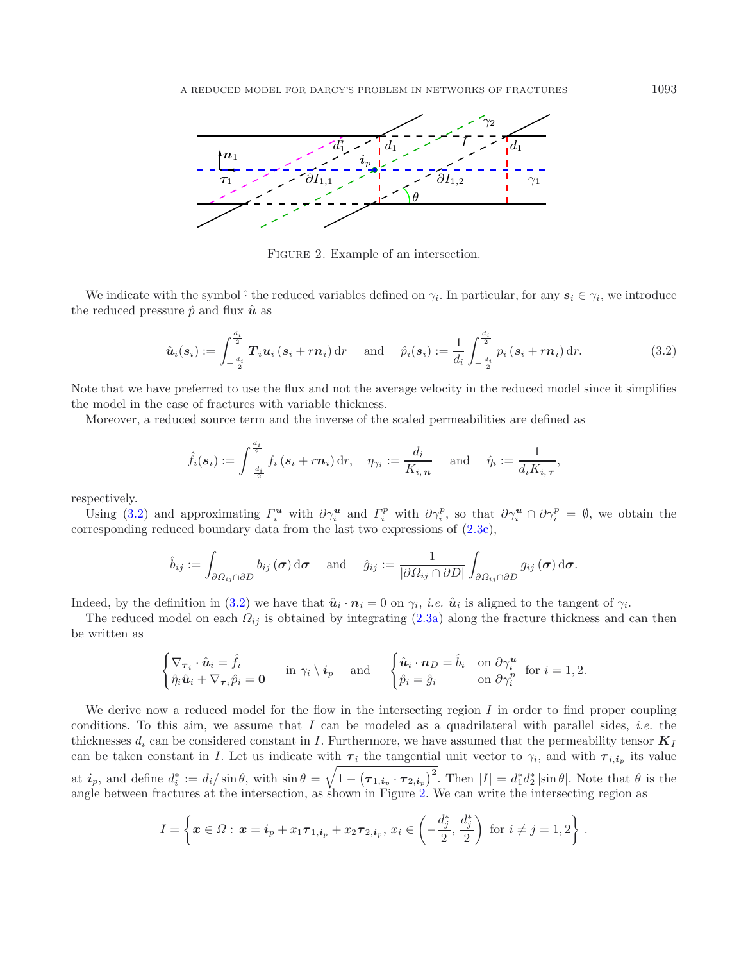<span id="page-4-1"></span>

<span id="page-4-0"></span>FIGURE 2. Example of an intersection.

We indicate with the symbol  $\hat{\cdot}$  the reduced variables defined on  $\gamma_i$ . In particular, for any  $s_i \in \gamma_i$ , we introduce the reduced pressure  $\hat{p}$  and flux  $\hat{u}$  as

$$
\hat{\boldsymbol{u}}_i(\boldsymbol{s}_i) := \int_{-\frac{d_i}{2}}^{\frac{d_i}{2}} \boldsymbol{T}_i \boldsymbol{u}_i (\boldsymbol{s}_i + r \boldsymbol{n}_i) \, \mathrm{d}r \quad \text{and} \quad \hat{p}_i(\boldsymbol{s}_i) := \frac{1}{d_i} \int_{-\frac{d_i}{2}}^{\frac{d_i}{2}} p_i (\boldsymbol{s}_i + r \boldsymbol{n}_i) \, \mathrm{d}r. \tag{3.2}
$$

Note that we have preferred to use the flux and not the average velocity in the reduced model since it simplifies the model in the case of fractures with variable thickness.

Moreover, a reduced source term and the inverse of the scaled permeabilities are defined as

$$
\hat{f}_i(\boldsymbol{s}_i) := \int_{-\frac{d_i}{2}}^{\frac{d_i}{2}} f_i(\boldsymbol{s}_i + r \boldsymbol{n}_i) \, \mathrm{d}r, \quad \eta_{\gamma_i} := \frac{d_i}{K_{i,\,\boldsymbol{n}}}\quad \text{ and } \quad \hat{\eta}_i := \frac{1}{d_i K_{i,\,\boldsymbol{\tau}}},
$$

respectively.

Using [\(3.2\)](#page-4-0) and approximating  $\Gamma_i^{\mathbf{u}}$  with  $\partial \gamma_i^{\mathbf{u}}$  and  $\Gamma_i^p$  with  $\partial \gamma_i^p$ , so that  $\partial \gamma_i^{\mathbf{u}} \cap \partial \gamma_i^p = \emptyset$ , we obtain the corresponding reduced boundary data from the last two expressions of [\(2.3c\)](#page-3-0),

$$
\hat{b}_{ij} := \int_{\partial \Omega_{ij} \cap \partial D} b_{ij}(\boldsymbol{\sigma}) d\boldsymbol{\sigma} \quad \text{ and } \quad \hat{g}_{ij} := \frac{1}{|\partial \Omega_{ij} \cap \partial D|} \int_{\partial \Omega_{ij} \cap \partial D} g_{ij}(\boldsymbol{\sigma}) d\boldsymbol{\sigma}.
$$

Indeed, by the definition in [\(3.2\)](#page-4-0) we have that  $\hat{u}_i \cdot n_i = 0$  on  $\gamma_i$ , *i.e.*  $\hat{u}_i$  is aligned to the tangent of  $\gamma_i$ .

The reduced model on each  $\Omega_{ij}$  is obtained by integrating [\(2.3a\)](#page-3-2) along the fracture thickness and can then be written as

$$
\begin{cases} \nabla_{\boldsymbol{\tau}_i} \cdot \hat{\boldsymbol{u}}_i = \hat{f}_i \\ \hat{\eta}_i \hat{\boldsymbol{u}}_i + \nabla_{\boldsymbol{\tau}_i} \hat{p}_i = \mathbf{0} \end{cases} \text{ in } \gamma_i \setminus \boldsymbol{i}_p \text{ and } \begin{cases} \hat{\boldsymbol{u}}_i \cdot \boldsymbol{n}_D = \hat{b}_i \quad \text{on } \partial \gamma_i^{\boldsymbol{u}} \\ \hat{p}_i = \hat{g}_i \quad \text{on } \partial \gamma_i^p \text{ for } i = 1, 2. \end{cases}
$$

We derive now a reduced model for the flow in the intersecting region  $I$  in order to find proper coupling conditions. To this aim, we assume that I can be modeled as a quadrilateral with parallel sides, *i.e.* the thicknesses  $d_i$  can be considered constant in I. Furthermore, we have assumed that the permeability tensor  $K_I$ can be taken constant in I. Let us indicate with  $\tau_i$  the tangential unit vector to  $\gamma_i$ , and with  $\tau_{i,i_p}$  its value at  $i_p$ , and define  $d_i^* := d_i / \sin \theta$ , with  $\sin \theta = \sqrt{1 - (\tau_{1,i_p} \cdot \tau_{2,i_p})^2}$ . Then  $|I| = d_1^* d_2^* |\sin \theta|$ . Note that  $\theta$  is the angle between fractures at the intersection, as shown in Figure [2.](#page-4-1) We can write the intersecting region as

$$
I = \left\{ \boldsymbol{x} \in \Omega : \, \boldsymbol{x} = \boldsymbol{i}_p + x_1 \boldsymbol{\tau}_{1, \boldsymbol{i}_p} + x_2 \boldsymbol{\tau}_{2, \boldsymbol{i}_p}, \, x_i \in \left( -\frac{d_j^*,}{2}, \frac{d_j^*}{2} \right) \text{ for } i \neq j = 1, 2 \right\} \, .
$$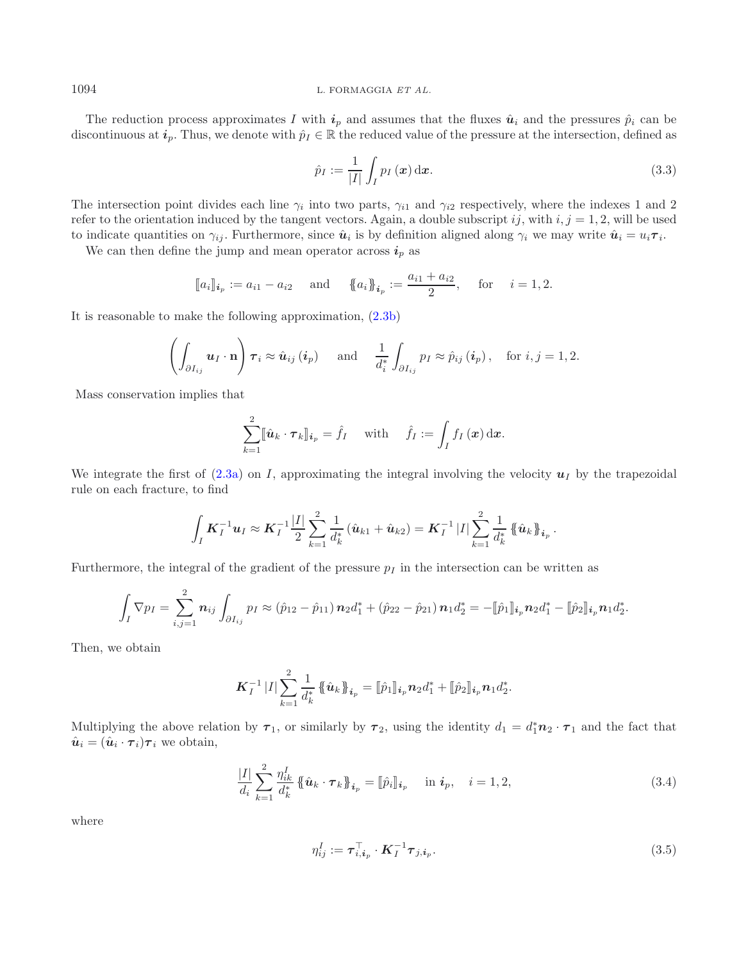The reduction process approximates I with  $i_p$  and assumes that the fluxes  $\hat{u}_i$  and the pressures  $\hat{p}_i$  can be discontinuous at  $i_p$ . Thus, we denote with  $\hat{p}_I \in \mathbb{R}$  the reduced value of the pressure at the intersection, defined as

<span id="page-5-2"></span>
$$
\hat{p}_I := \frac{1}{|I|} \int_I p_I(\boldsymbol{x}) \, \mathrm{d}\boldsymbol{x}.\tag{3.3}
$$

The intersection point divides each line  $\gamma_i$  into two parts,  $\gamma_{i1}$  and  $\gamma_{i2}$  respectively, where the indexes 1 and 2 refer to the orientation induced by the tangent vectors. Again, a double subscript ij, with  $i, j = 1, 2$ , will be used to indicate quantities on  $\gamma_{ij}$ . Furthermore, since  $\hat{u}_i$  is by definition aligned along  $\gamma_i$  we may write  $\hat{u}_i = u_i \tau_i$ .

We can then define the jump and mean operator across  $i_p$  as

$$
[a_i]_{i_p} := a_{i1} - a_{i2}
$$
 and  $\{a_i\}_{i_p} := \frac{a_{i1} + a_{i2}}{2}$ , for  $i = 1, 2$ .

It is reasonable to make the following approximation, [\(2.3b\)](#page-3-3)

$$
\left(\int_{\partial I_{ij}} \mathbf{u}_I \cdot \mathbf{n}\right) \boldsymbol{\tau}_i \approx \hat{\mathbf{u}}_{ij} \left(\boldsymbol{i}_p\right) \quad \text{and} \quad \frac{1}{d_i^*} \int_{\partial I_{ij}} p_I \approx \hat{p}_{ij} \left(\boldsymbol{i}_p\right), \quad \text{for } i, j = 1, 2.
$$

Mass conservation implies that

$$
\sum_{k=1}^{2} [\![\hat{\boldsymbol{u}}_k \cdot \boldsymbol{\tau}_k]\!]_{\boldsymbol{i}_p} = \hat{f}_I \quad \text{ with } \quad \hat{f}_I := \int_I f_I(\boldsymbol{x}) \, \mathrm{d}\boldsymbol{x}.
$$

We integrate the first of  $(2.3a)$  on I, approximating the integral involving the velocity  $u<sub>I</sub>$  by the trapezoidal rule on each fracture, to find

$$
\int_I \boldsymbol{K}_I^{-1} \boldsymbol{u}_I \approx \boldsymbol{K}_I^{-1} \frac{|I|}{2} \sum_{k=1}^2 \frac{1}{d_k^*} \left( \hat{\boldsymbol{u}}_{k1} + \hat{\boldsymbol{u}}_{k2} \right) = \boldsymbol{K}_I^{-1} |I| \sum_{k=1}^2 \frac{1}{d_k^*} \left\{ \hat{\boldsymbol{u}}_{k} \right\}_{i_p}.
$$

Furthermore, the integral of the gradient of the pressure  $p_I$  in the intersection can be written as

$$
\int_I \nabla p_I = \sum_{i,j=1}^2 \mathbf{n}_{ij} \int_{\partial I_{ij}} p_I \approx (\hat{p}_{12} - \hat{p}_{11}) \mathbf{n}_2 d_1^* + (\hat{p}_{22} - \hat{p}_{21}) \mathbf{n}_1 d_2^* = -[\![\hat{p}_1]\!]_{i_p} \mathbf{n}_2 d_1^* - [\![\hat{p}_2]\!]_{i_p} \mathbf{n}_1 d_2^*.
$$

Then, we obtain

<span id="page-5-0"></span>
$$
\boldsymbol{K}_{I}^{-1}\,|I|\sum_{k=1}^2\frac{1}{d_k^*}\,\{\!\{\hat{\boldsymbol{u}}_k\!\}_{\boldsymbol{i}_p}=[\![\hat{p}_1]\!]_{\boldsymbol{i}_p}\boldsymbol{n}_2d_1^*+[\![\hat{p}_2]\!]_{\boldsymbol{i}_p}\boldsymbol{n}_1d_2^*.
$$

Multiplying the above relation by  $\tau_1$ , or similarly by  $\tau_2$ , using the identity  $d_1 = d_1^* \mathbf{n}_2 \cdot \tau_1$  and the fact that  $\hat{\mathbf{n}}_1 = (\hat{\mathbf{n}}_1 \cdot \tau_1) \tau_1$  we obtain  $\hat{u}_i = (\hat{u}_i \cdot \tau_i)\tau_i$  we obtain,

$$
\frac{|I|}{d_i} \sum_{k=1}^2 \frac{\eta_{ik}^I}{d_k^*} \left\{\hat{u}_k \cdot \tau_k\right\}_{i_p} = [\hat{p}_i]_{i_p} \quad \text{in } i_p, \quad i = 1, 2,
$$
\n(3.4)

where

<span id="page-5-1"></span>
$$
\eta_{ij}^I := \boldsymbol{\tau}_{i,i_p}^\top \cdot \boldsymbol{K}_I^{-1} \boldsymbol{\tau}_{j,i_p}.
$$
\n(3.5)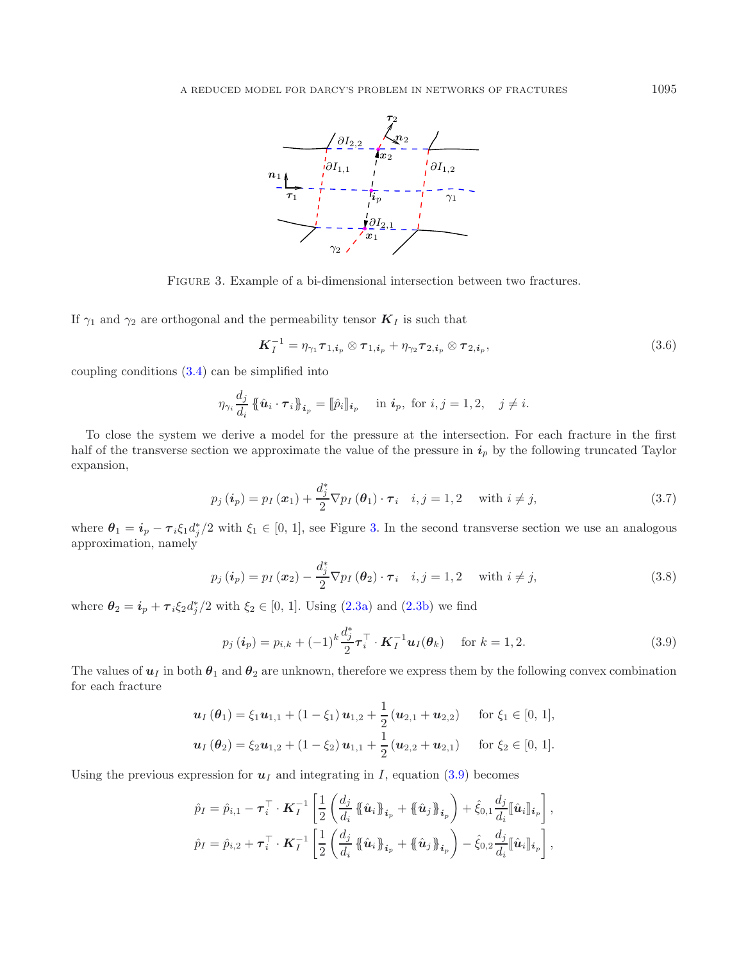<span id="page-6-0"></span>

Figure 3. Example of a bi-dimensional intersection between two fractures.

If  $\gamma_1$  and  $\gamma_2$  are orthogonal and the permeability tensor  $K_I$  is such that

<span id="page-6-1"></span>
$$
\boldsymbol{K}_I^{-1} = \eta_{\gamma_1} \boldsymbol{\tau}_{1, \boldsymbol{i}_p} \otimes \boldsymbol{\tau}_{1, \boldsymbol{i}_p} + \eta_{\gamma_2} \boldsymbol{\tau}_{2, \boldsymbol{i}_p} \otimes \boldsymbol{\tau}_{2, \boldsymbol{i}_p},
$$
\n(3.6)

coupling conditions [\(3.4\)](#page-5-0) can be simplified into

$$
\eta_{\gamma_i} \frac{d_j}{d_i} \left\{\!\left\{\hat{\boldsymbol{u}}_i \cdot \boldsymbol{\tau}_i\right\}\!\right\}_{i_p} = \llbracket \hat{p}_i \rrbracket_{i_p} \quad \text{in } i_p, \text{ for } i, j = 1, 2, \quad j \neq i.
$$

To close the system we derive a model for the pressure at the intersection. For each fracture in the first half of the transverse section we approximate the value of the pressure in  $i_p$  by the following truncated Taylor expansion,

$$
p_j\left(\boldsymbol{i}_p\right) = p_I\left(\boldsymbol{x}_1\right) + \frac{d_j^*}{2} \nabla p_I\left(\boldsymbol{\theta}_1\right) \cdot \boldsymbol{\tau}_i \quad i, j = 1, 2 \quad \text{ with } i \neq j,
$$
\n
$$
(3.7)
$$

where  $\theta_1 = i_p - \tau_i \xi_1 d_j^*/2$  with  $\xi_1 \in [0, 1]$ , see Figure [3.](#page-6-0) In the second transverse section we use an analogous<br>approximation namely approximation, namely

$$
p_j\left(\boldsymbol{i}_p\right) = p_I\left(\boldsymbol{x}_2\right) - \frac{d_j^*}{2} \nabla p_I\left(\boldsymbol{\theta}_2\right) \cdot \boldsymbol{\tau}_i \quad i, j = 1, 2 \quad \text{with } i \neq j,
$$
\n(3.8)

where  $\theta_2 = i_p + \tau_i \xi_2 d_j^*/2$  with  $\xi_2 \in [0, 1]$ . Using [\(2.3a\)](#page-3-2) and [\(2.3b\)](#page-3-3) we find

$$
p_j\left(\boldsymbol{i}_p\right) = p_{i,k} + (-1)^k \frac{d_j^*}{2} \boldsymbol{\tau}_i^\top \cdot \boldsymbol{K}_I^{-1} \boldsymbol{u}_I(\boldsymbol{\theta}_k) \quad \text{ for } k = 1, 2. \tag{3.9}
$$

The values of  $u_I$  in both  $\theta_1$  and  $\theta_2$  are unknown, therefore we express them by the following convex combination for each fracture

$$
\mathbf{u}_I(\theta_1) = \xi_1 \mathbf{u}_{1,1} + (1 - \xi_1) \mathbf{u}_{1,2} + \frac{1}{2} (\mathbf{u}_{2,1} + \mathbf{u}_{2,2}) \quad \text{for } \xi_1 \in [0, 1],
$$
  

$$
\mathbf{u}_I(\theta_2) = \xi_2 \mathbf{u}_{1,2} + (1 - \xi_2) \mathbf{u}_{1,1} + \frac{1}{2} (\mathbf{u}_{2,2} + \mathbf{u}_{2,1}) \quad \text{for } \xi_2 \in [0, 1].
$$

Using the previous expression for  $u_I$  and integrating in I, equation [\(3.9\)](#page-6-1) becomes

$$
\hat{p}_I = \hat{p}_{i,1} - \boldsymbol{\tau}_i^{\top} \cdot \boldsymbol{K}_I^{-1} \left[ \frac{1}{2} \left( \frac{d_j}{d_i} \left\{ \hat{\boldsymbol{u}}_i \right\}_{\boldsymbol{i}_p} + \left\{ \hat{\boldsymbol{u}}_j \right\}_{\boldsymbol{i}_p} \right) + \hat{\xi}_{0,1} \frac{d_j}{d_i} \left[ \hat{\boldsymbol{u}}_i \right]_{\boldsymbol{i}_p} \right],
$$
\n
$$
\hat{p}_I = \hat{p}_{i,2} + \boldsymbol{\tau}_i^{\top} \cdot \boldsymbol{K}_I^{-1} \left[ \frac{1}{2} \left( \frac{d_j}{d_i} \left\{ \hat{\boldsymbol{u}}_i \right\}_{\boldsymbol{i}_p} + \left\{ \hat{\boldsymbol{u}}_j \right\}_{\boldsymbol{i}_p} \right) - \hat{\xi}_{0,2} \frac{d_j}{d_i} \left[ \hat{\boldsymbol{u}}_i \right]_{\boldsymbol{i}_p} \right],
$$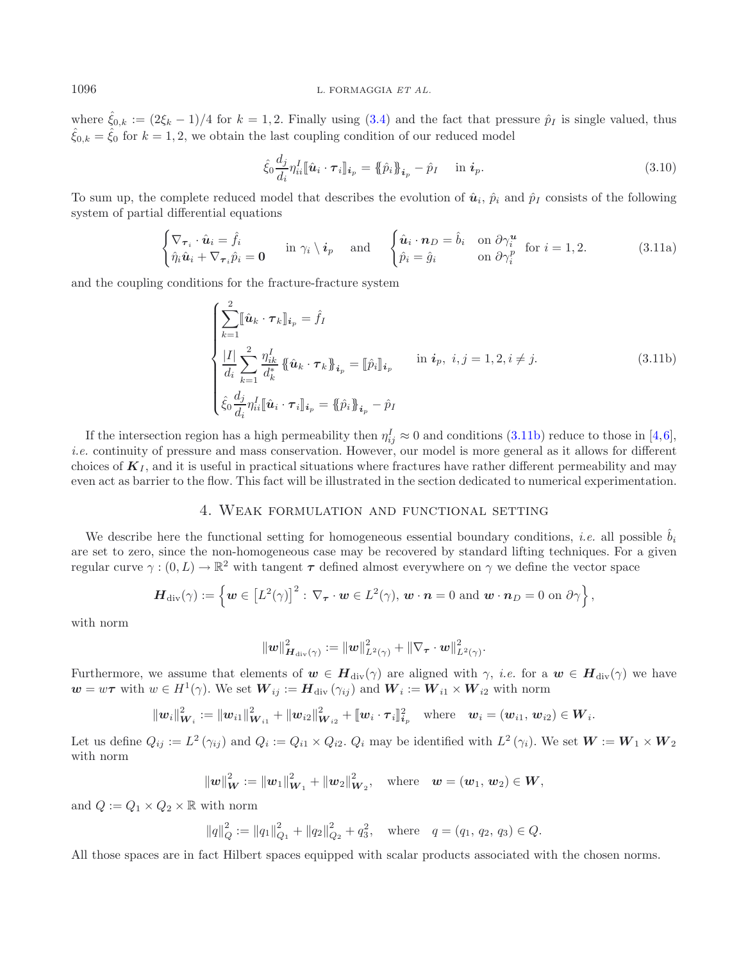where  $\hat{\xi}_{0,k} := (2\xi_k - 1)/4$  for  $k = 1, 2$ . Finally using  $(3.4)$  and the fact that pressure  $\hat{p}_I$  is single valued, thus  $\hat{\xi}_{0,k} = \hat{\xi}_0$  for  $k = 1, 2$ , we obtain the last coupling condition of our reduced model

<span id="page-7-2"></span><span id="page-7-0"></span>
$$
\hat{\xi}_0 \frac{d_j}{d_i} \eta_{ii}^I [\hat{\boldsymbol{u}}_i \cdot \boldsymbol{\tau}_i] |_{\mathbf{i}_p} = {\hat{\boldsymbol{\phi}}_i} {\hat{\boldsymbol{\beta}}_{\mathbf{i}_p}} - \hat{p}_I \quad \text{ in } \mathbf{i}_p. \tag{3.10}
$$

To sum up, the complete reduced model that describes the evolution of  $\hat{u}_i$ ,  $\hat{p}_i$  and  $\hat{p}_I$  consists of the following system of partial differential equations

$$
\begin{cases} \nabla_{\boldsymbol{\tau}_i} \cdot \hat{\boldsymbol{u}}_i = \hat{f}_i \\ \hat{\eta}_i \hat{\boldsymbol{u}}_i + \nabla_{\boldsymbol{\tau}_i} \hat{p}_i = \mathbf{0} \end{cases} \text{ in } \gamma_i \setminus \boldsymbol{i}_p \text{ and } \begin{cases} \hat{\boldsymbol{u}}_i \cdot \boldsymbol{n}_D = \hat{b}_i & \text{on } \partial \gamma_i^{\boldsymbol{u}} \\ \hat{p}_i = \hat{g}_i & \text{on } \partial \gamma_i^p \text{ for } i = 1, 2. \end{cases} \tag{3.11a}
$$

and the coupling conditions for the fracture-fracture system

$$
\begin{cases}\n\sum_{k=1}^{2} [\hat{u}_k \cdot \tau_k]_{i_p} = \hat{f}_I \\
\frac{|I|}{d_i} \sum_{k=1}^{2} \frac{\eta_{ik}^I}{d_k^*} \{\hat{u}_k \cdot \tau_k\}_{i_p} = [\hat{p}_i]_{i_p} & \text{in } i_p, \ i, j = 1, 2, i \neq j.\n\end{cases}
$$
\n
$$
\begin{cases}\n\hat{d}_j \frac{d_j}{d_i} \eta_{ii}^I [\hat{u}_i \cdot \tau_i]_{i_p} = \{\hat{p}_i\}_{i_p} - \hat{p}_I\n\end{cases}
$$
\n(3.11b)

If the intersection region has a high permeability then  $\eta_{ij}^I \approx 0$  and conditions [\(3.11b\)](#page-7-0) reduce to those in [\[4](#page-26-6)[,6](#page-26-5)], *i.e.* continuity of pressure and mass conservation. However, our model is more general as it allows for different choices of  $K_I$ , and it is useful in practical situations where fractures have rather different permeability and may even act as barrier to the flow. This fact will be illustrated in the section dedicated to numerical experimentation.

# 4. Weak formulation and functional setting

We describe here the functional setting for homogeneous essential boundary conditions, *i.e.* all possible  $b_i$ are set to zero, since the non-homogeneous case may be recovered by standard lifting techniques. For a given regular curve  $\gamma : (0, L) \to \mathbb{R}^2$  with tangent  $\tau$  defined almost everywhere on  $\gamma$  we define the vector space

$$
\boldsymbol{H}_{\mathrm{div}}(\gamma) := \left\{ \boldsymbol{w} \in \left[L^2(\gamma)\right]^2 : \, \nabla_{\boldsymbol{\tau}} \cdot \boldsymbol{w} \in L^2(\gamma), \, \boldsymbol{w} \cdot \boldsymbol{n} = 0 \text{ and } \boldsymbol{w} \cdot \boldsymbol{n}_D = 0 \text{ on } \partial \gamma \right\},
$$

with norm

$$
\left\|\boldsymbol{w}\right\|_{\boldsymbol{H}_{\text{div}}\left(\boldsymbol{\gamma}\right)}^{2}:=\left\|\boldsymbol{w}\right\|_{L^{2}\left(\boldsymbol{\gamma}\right)}^{2}+\left\|\nabla_{\boldsymbol{\tau}}\cdot\boldsymbol{w}\right\|_{L^{2}\left(\boldsymbol{\gamma}\right)}^{2}.
$$

Furthermore, we assume that elements of  $w \in H_{div}(\gamma)$  are aligned with  $\gamma$ , *i.e.* for a  $w \in H_{div}(\gamma)$  we have  $w = w\tau$  with  $w \in H^1(\gamma)$ . We set  $W_{ij} := H_{\text{div}}(\gamma_{ij})$  and  $W_i := W_{i1} \times W_{i2}$  with norm

$$
\|\mathbf{w}_i\|_{\mathbf{W}_i}^2 := \|\mathbf{w}_{i1}\|_{\mathbf{W}_{i1}}^2 + \|\mathbf{w}_{i2}\|_{\mathbf{W}_{i2}}^2 + \|\mathbf{w}_i \cdot \boldsymbol{\tau}_i\|_{i_p}^2 \quad \text{where} \quad \mathbf{w}_i = (\mathbf{w}_{i1}, \mathbf{w}_{i2}) \in \mathbf{W}_i.
$$

Let us define  $Q_{ij} := L^2(\gamma_{ij})$  and  $Q_i := Q_{i1} \times Q_{i2}$ .  $Q_i$  may be identified with  $L^2(\gamma_i)$ . We set  $W := W_1 \times W_2$ with norm

$$
\|\boldsymbol{w}\|_{\boldsymbol{W}}^2 := \|\boldsymbol{w}_1\|_{\boldsymbol{W}_1}^2 + \|\boldsymbol{w}_2\|_{\boldsymbol{W}_2}^2, \quad \text{where} \quad \boldsymbol{w} = (\boldsymbol{w}_1, \boldsymbol{w}_2) \in \boldsymbol{W},
$$

and  $Q := Q_1 \times Q_2 \times \mathbb{R}$  with norm

$$
||q||_Q^2 := ||q_1||_{Q_1}^2 + ||q_2||_{Q_2}^2 + q_3^2
$$
, where  $q = (q_1, q_2, q_3) \in Q$ .

All those spaces are in fact Hilbert spaces equipped with scalar products associated with the chosen norms.

<span id="page-7-1"></span>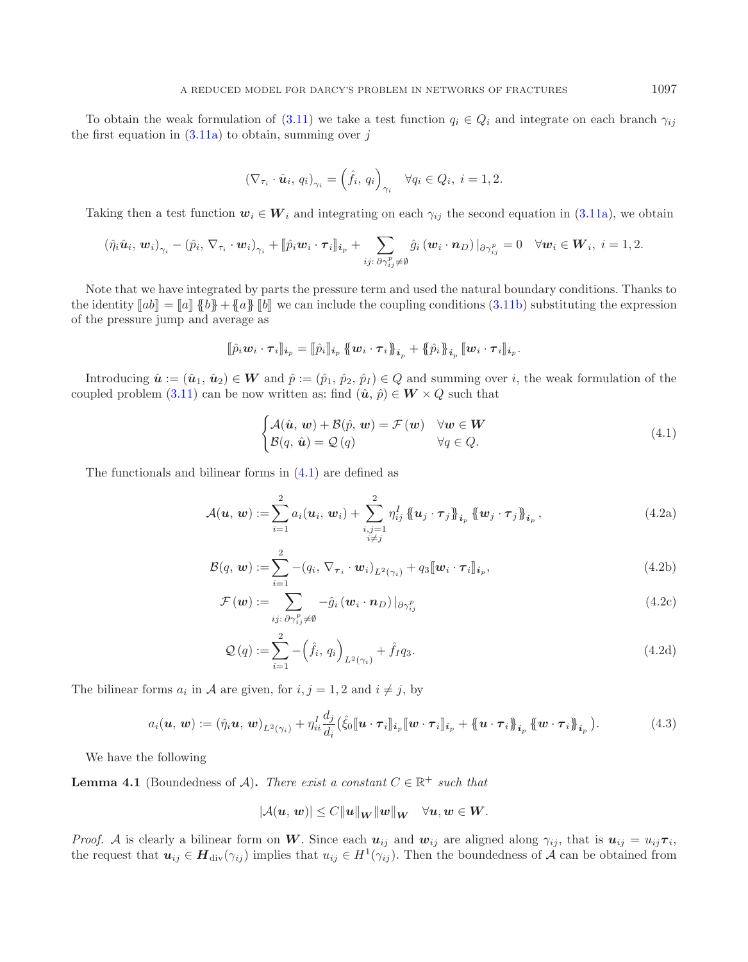To obtain the weak formulation of [\(3.11\)](#page-7-1) we take a test function  $q_i \in Q_i$  and integrate on each branch  $\gamma_{ij}$ the first equation in  $(3.11a)$  to obtain, summing over j

<span id="page-8-0"></span>
$$
\left(\nabla_{\tau_i} \cdot \hat{\boldsymbol{u}}_i, q_i\right)_{\gamma_i} = \left(\hat{f}_i, q_i\right)_{\gamma_i} \quad \forall q_i \in Q_i, \ i = 1, 2.
$$

Taking then a test function  $w_i \in W_i$  and integrating on each  $\gamma_{ij}$  the second equation in [\(3.11a\)](#page-7-2), we obtain

$$
\left(\hat{\eta}_{i}\hat{\boldsymbol{u}}_{i},\,\boldsymbol{w}_{i}\right)_{\gamma_{i}}-\left(\hat{p}_{i},\,\nabla_{\tau_{i}}\cdot\boldsymbol{w}_{i}\right)_{\gamma_{i}}+\llbracket\hat{p}_{i}\boldsymbol{w}_{i}\cdot\boldsymbol{\tau}_{i}\rrbracket_{\boldsymbol{i}_{p}}+\sum_{ij:\,\partial\gamma_{ij}^{p}\neq\emptyset}\hat{g}_{i}\left(\boldsymbol{w}_{i}\cdot\boldsymbol{n}_{D}\right)\rvert_{\partial\gamma_{ij}^{p}}=0\quad\forall\boldsymbol{w}_{i}\in\boldsymbol{W}_{i},\ i=1,2.
$$

Note that we have integrated by parts the pressure term and used the natural boundary conditions. Thanks to the identity  $[\![ab]\!] = [\![a]\!] \, \{ \![b]\!] + \{ \![a]\!] \, \, [\![b]\!]$  we can include the coupling conditions [\(3.11b\)](#page-7-0) substituting the expression of the pressure jump and average as

$$
[\![\hat{p}_i\boldsymbol{w}_i\cdot\boldsymbol{\tau}_i]\!]_{\boldsymbol{i}_p}=[\![\hat{p}_i]\!]_{\boldsymbol{i}_p}\{\!\!\{\boldsymbol{w}_i\cdot\boldsymbol{\tau}_i\}\!\!\}_{\boldsymbol{i}_p}+\{\!\!\{\hat{p}_i\}\!\!\}_{\boldsymbol{i}_p}\,[\![\boldsymbol{w}_i\cdot\boldsymbol{\tau}_i]\!]_{\boldsymbol{i}_p}.
$$

Introducing  $\hat{\mathbf{u}} := (\hat{u}_1, \hat{u}_2) \in \mathbf{W}$  and  $\hat{p} := (\hat{p}_1, \hat{p}_2, \hat{p}_1) \in Q$  and summing over i, the weak formulation of the coupled problem [\(3.11\)](#page-7-1) can be now written as: find  $(\hat{u}, \hat{p}) \in W \times Q$  such that

$$
\begin{cases}\n\mathcal{A}(\hat{\mathbf{u}}, \mathbf{w}) + \mathcal{B}(\hat{p}, \mathbf{w}) = \mathcal{F}(\mathbf{w}) & \forall \mathbf{w} \in \mathbf{W} \\
\mathcal{B}(q, \hat{\mathbf{u}}) = \mathcal{Q}(q) & \forall q \in Q.\n\end{cases}
$$
\n(4.1)

The functionals and bilinear forms in [\(4.1\)](#page-8-0) are defined as

$$
\mathcal{A}(\boldsymbol{u},\,\boldsymbol{w}) := \sum_{i=1}^{2} a_i(\boldsymbol{u}_i,\,\boldsymbol{w}_i) + \sum_{\substack{i,j=1\\i\neq j}}^{2} \eta_{ij}^I \left\{\!\!\left\{\boldsymbol{u}_j\cdot\boldsymbol{\tau}_j\right\}\!\!\right\}_{i_p} \left\{\!\!\left\{\boldsymbol{w}_j\cdot\boldsymbol{\tau}_j\right\}\!\!\right\}_{i_p},\tag{4.2a}
$$

$$
\mathcal{B}(q, \boldsymbol{w}) := \sum_{i=1}^{2} -(q_i, \nabla_{\boldsymbol{\tau}_i} \cdot \boldsymbol{w}_i)_{L^2(\gamma_i)} + q_3 [\![\boldsymbol{w}_i \cdot \boldsymbol{\tau}_i]\!]_{i_p},
$$
\n(4.2b)

$$
\mathcal{F}(\boldsymbol{w}) := \sum_{ij: \partial \gamma_{ij}^p \neq \emptyset} -\hat{g}_i (\boldsymbol{w}_i \cdot \boldsymbol{n}_D) |_{\partial \gamma_{ij}^p}
$$
(4.2c)

$$
\mathcal{Q}(q) := \sum_{i=1}^{2} -(\hat{f}_i, q_i)_{L^2(\gamma_i)} + \hat{f}_I q_3.
$$
\n(4.2d)

The bilinear forms  $a_i$  in A are given, for  $i, j = 1, 2$  and  $i \neq j$ , by

$$
a_i(\boldsymbol{u},\boldsymbol{w}) := (\hat{\eta}_i \boldsymbol{u},\boldsymbol{w})_{L^2(\gamma_i)} + \eta_{ii}^I \frac{d_j}{d_i} (\hat{\xi}_0[\![\boldsymbol{u} \cdot \boldsymbol{\tau}_i]\!]_{i_p} [\![\boldsymbol{w} \cdot \boldsymbol{\tau}_i]\!]_{i_p} + \{\!\!\{\boldsymbol{u} \cdot \boldsymbol{\tau}_i\}\!\!\}_{i_p} \{\!\!\{\boldsymbol{w} \cdot \boldsymbol{\tau}_i\}\!\!\}_{i_p}).
$$
 (4.3)

We have the following

**Lemma 4.1** (Boundedness of A). *There exist a constant*  $C \in \mathbb{R}^+$  *such that* 

$$
|\mathcal{A}(\boldsymbol{u},\boldsymbol{w})| \leq C \|\boldsymbol{u}\|_{\boldsymbol{W}} \|\boldsymbol{w}\|_{\boldsymbol{W}} \quad \forall \boldsymbol{u},\boldsymbol{w} \in \boldsymbol{W}.
$$

*Proof.* A is clearly a bilinear form on W. Since each  $u_{ij}$  and  $w_{ij}$  are aligned along  $\gamma_{ij}$ , that is  $u_{ij} = u_{ij}\tau_i$ , the request that  $u_{ij} \in H_{div}(\gamma_{ij})$  implies that  $u_{ij} \in H^1(\gamma_{ij})$ . Then the boundedness of A can be obtained from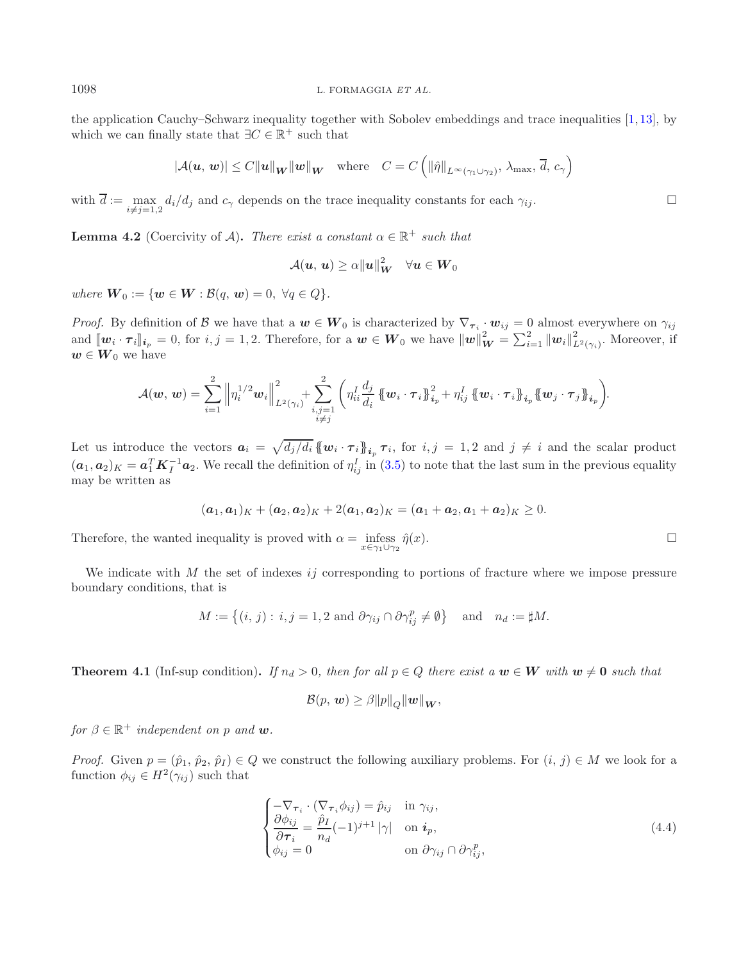the application Cauchy–Schwarz inequality together with Sobolev embeddings and trace inequalities [\[1](#page-26-7), [13](#page-27-17)], by which we can finally state that  $\exists C \in \mathbb{R}^+$  such that

$$
|\mathcal{A}(\boldsymbol{u},\,\boldsymbol{w})| \leq C \|\boldsymbol{u}\|_{\boldsymbol{W}} \|\boldsymbol{w}\|_{\boldsymbol{W}} \quad \text{where} \quad C = C \left( \|\hat{\eta}\|_{L^{\infty}(\gamma_1 \cup \gamma_2)}, \lambda_{\max}, \overline{d}, \, c_{\gamma} \right)
$$

with  $d := \max_{i \neq j=1,2} d_i/d_j$  and  $c_\gamma$  depends on the trace inequality constants for each  $\gamma_{ij}$ .

**Lemma 4.2** (Coercivity of A). *There exist a constant*  $\alpha \in \mathbb{R}^+$  *such that* 

$$
\mathcal{A}(\boldsymbol{u},\,\boldsymbol{u})\geq\alpha\|\boldsymbol{u}\|_{\boldsymbol{W}}^2\quad\forall\boldsymbol{u}\in\boldsymbol{W}_0
$$

*where*  $\mathbf{W}_0 := \{ \mathbf{w} \in \mathbf{W} : \mathcal{B}(q, \mathbf{w}) = 0, \ \forall q \in Q \}.$ 

*Proof.* By definition of B we have that a  $w \in W_0$  is characterized by  $\nabla_{\tau_i} \cdot w_{ij} = 0$  almost everywhere on  $\gamma_{ij}$ and  $[\![w_i \cdot \tau_i]\!]_{i_p} = 0$ , for  $i, j = 1, 2$ . Therefore, for a  $w \in W_0$  we have  $||w||_W^2 = \sum_{i=1}^2 ||w_i||_{L^2(\gamma_i)}^2$ . Moreover, if  $w \in W_0$  we have

$$
\mathcal{A}(\boldsymbol{w},\,\boldsymbol{w})=\sum_{i=1}^{2}\left\|\eta_{i}^{1/2}\boldsymbol{w}_{i}\right\|_{L^{2}(\gamma_{i})}^{2}+\sum_{\substack{i,j=1\\i\neq j}}^{2}\bigg(\eta_{ii}^{I}\frac{d_{j}}{d_{i}}\left\{\!\left(\boldsymbol{w}_{i}\cdot\boldsymbol{\tau}_{i}\right\}\!\right\}_{i_{p}}^{2}+\eta_{ij}^{I}\left\{\!\left(\boldsymbol{w}_{i}\cdot\boldsymbol{\tau}_{i}\right\}\!\right\}_{i_{p}}\left\{\!\left(\boldsymbol{w}_{j}\cdot\boldsymbol{\tau}_{j}\right\}\!\right\}_{i_{p}}\bigg).
$$

<span id="page-9-1"></span>Let us introduce the vectors  $a_i = \sqrt{d_j/d_i} \{ {w_i \cdot \tau_i} \}_{i, p} \tau_i$ , for  $i, j = 1, 2$  and  $j \neq i$  and the scalar product  $(\boldsymbol{a}_1, \boldsymbol{a}_2)_K = \boldsymbol{a}_1^T \boldsymbol{K}_I^{-1} \boldsymbol{a}_2$ . We recall the definition of  $\eta_{ij}^I$  in [\(3.5\)](#page-5-1) to note that the last sum in the previous equality may be written as may be written as

$$
(a_1, a_1)_K + (a_2, a_2)_K + 2(a_1, a_2)_K = (a_1 + a_2, a_1 + a_2)_K \geq 0.
$$

Therefore, the wanted inequality is proved with  $\alpha = \underset{x \in \gamma_1 \cup \gamma_2}{\text{infeas}} \hat{\eta}(x)$ .  $\hat{\eta}(x)$ .

We indicate with  $M$  the set of indexes ij corresponding to portions of fracture where we impose pressure boundary conditions, that is

$$
M := \left\{ (i, j) : i, j = 1, 2 \text{ and } \partial \gamma_{ij} \cap \partial \gamma_{ij}^p \neq \emptyset \right\} \text{ and } n_d := \sharp M.
$$

**Theorem 4.1** (Inf-sup condition). *If*  $n_d > 0$ , then for all  $p \in Q$  there exist a  $w \in W$  with  $w \neq 0$  such that

<span id="page-9-0"></span>
$$
\mathcal{B}(p, w) \geq \beta ||p||_{Q} ||w||_{W},
$$

*for*  $\beta \in \mathbb{R}^+$  *independent on* p *and w*.

*Proof.* Given  $p = (\hat{p}_1, \hat{p}_2, \hat{p}_I) \in Q$  we construct the following auxiliary problems. For  $(i, j) \in M$  we look for a function  $\phi_{ij} \in H^2(\gamma_{ij})$  such that

$$
\begin{cases}\n-\nabla_{\boldsymbol{\tau}_i} \cdot (\nabla_{\boldsymbol{\tau}_i} \phi_{ij}) = \hat{p}_{ij} & \text{in } \gamma_{ij}, \\
\frac{\partial \phi_{ij}}{\partial \boldsymbol{\tau}_i} = \frac{\hat{p}_I}{n_d} (-1)^{j+1} |\gamma| & \text{on } \boldsymbol{i}_p, \\
\phi_{ij} = 0 & \text{on } \partial \gamma_{ij} \cap \partial \gamma_{ij}^p,\n\end{cases}
$$
\n(4.4)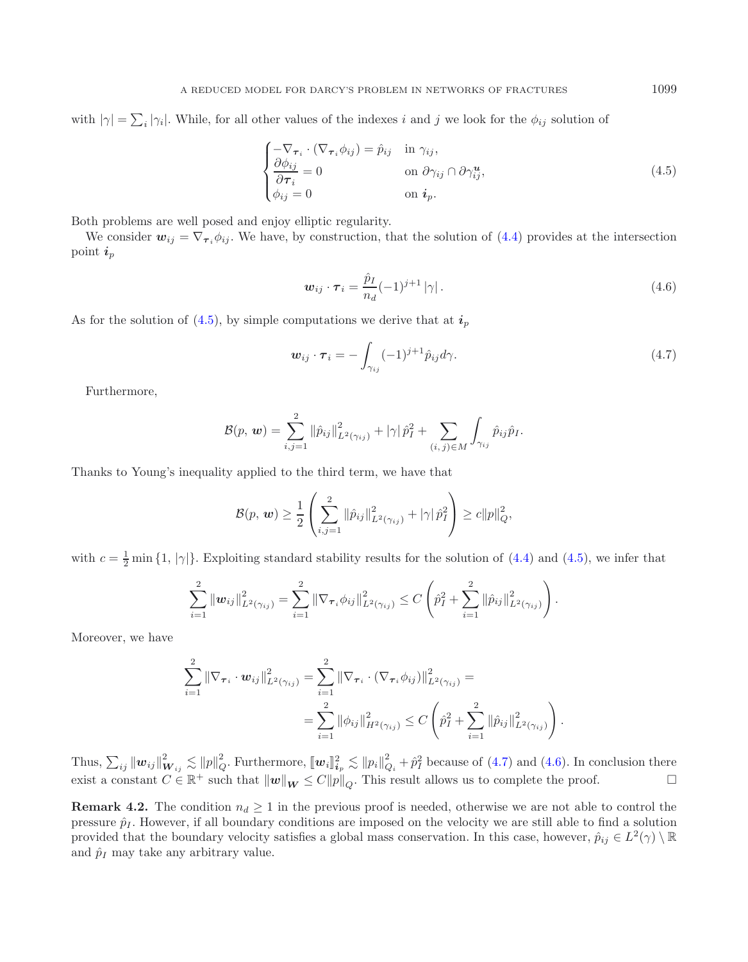with  $|\gamma| = \sum_i |\gamma_i|$ . While, for all other values of the indexes i and j we look for the  $\phi_{ij}$  solution of

$$
\begin{cases}\n-\nabla_{\boldsymbol{\tau}_i} \cdot (\nabla_{\boldsymbol{\tau}_i} \phi_{ij}) = \hat{p}_{ij} & \text{in } \gamma_{ij}, \\
\frac{\partial \phi_{ij}}{\partial \boldsymbol{\tau}_i} = 0 & \text{on } \partial \gamma_{ij} \cap \partial \gamma_{ij}^{\boldsymbol{u}}, \\
\phi_{ij} = 0 & \text{on } \boldsymbol{i}_p.\n\end{cases}
$$
\n(4.5)

Both problems are well posed and enjoy elliptic regularity.

We consider  $w_{ij} = \nabla_{\tau_i} \phi_{ij}$ . We have, by construction, that the solution of [\(4.4\)](#page-9-0) provides at the intersection point *<sup>i</sup>*<sup>p</sup>

$$
\boldsymbol{w}_{ij} \cdot \boldsymbol{\tau}_i = \frac{\hat{p}_I}{n_d} (-1)^{j+1} |\gamma| \,. \tag{4.6}
$$

As for the solution of  $(4.5)$ , by simple computations we derive that at  $\boldsymbol{i}_p$ 

$$
\boldsymbol{w}_{ij} \cdot \boldsymbol{\tau}_i = -\int_{\gamma_{ij}} (-1)^{j+1} \hat{p}_{ij} d\gamma. \tag{4.7}
$$

Furthermore,

$$
\mathcal{B}(p, w) = \sum_{i,j=1}^{2} ||\hat{p}_{ij}||_{L^{2}(\gamma_{ij})}^{2} + |\gamma| \hat{p}_{I}^{2} + \sum_{(i, j) \in M} \int_{\gamma_{ij}} \hat{p}_{ij} \hat{p}_{I}.
$$

Thanks to Young's inequality applied to the third term, we have that

$$
\mathcal{B}(p, \, \boldsymbol{w}) \geq \frac{1}{2} \left( \sum_{i,j=1}^2 \|\hat{p}_{ij}\|_{L^2(\gamma_{ij})}^2 + |\gamma|\,\hat{p}_I^2 \right) \geq c \|p\|_{Q}^2,
$$

with  $c = \frac{1}{2} \min \{1, |\gamma|\}$ . Exploiting standard stability results for the solution of [\(4.4\)](#page-9-0) and [\(4.5\)](#page-10-0), we infer that

$$
\sum_{i=1}^2 \|\mathbf{w}_{ij}\|_{L^2(\gamma_{ij})}^2 = \sum_{i=1}^2 \|\nabla_{\boldsymbol{\tau}_i} \phi_{ij}\|_{L^2(\gamma_{ij})}^2 \leq C \left( \hat{p}_I^2 + \sum_{i=1}^2 \|\hat{p}_{ij}\|_{L^2(\gamma_{ij})}^2 \right).
$$

Moreover, we have

$$
\sum_{i=1}^{2} \|\nabla_{\tau_{i}} \cdot \boldsymbol{w}_{ij}\|_{L^{2}(\gamma_{ij})}^{2} = \sum_{i=1}^{2} \|\nabla_{\tau_{i}} \cdot (\nabla_{\tau_{i}} \phi_{ij})\|_{L^{2}(\gamma_{ij})}^{2} =
$$
  

$$
= \sum_{i=1}^{2} \|\phi_{ij}\|_{H^{2}(\gamma_{ij})}^{2} \le C \left(\hat{p}_{I}^{2} + \sum_{i=1}^{2} \|\hat{p}_{ij}\|_{L^{2}(\gamma_{ij})}^{2}\right).
$$

Thus,  $\sum_{ij} ||\boldsymbol{w}_{ij}||^2_{\boldsymbol{W}_{ij}} \lesssim ||p||^2_Q$ . Furthermore,  $[\boldsymbol{w}_i]_{i_p}^2 \lesssim ||p_i||^2_{Q_i} + \hat{p}_I^2$  because of [\(4.7\)](#page-10-1) and [\(4.6\)](#page-10-2). In conclusion there exist a constant  $C \in \mathbb{R}^+$  such that  $\|\boldsymbol{w}\|_{\boldsymbol{W}} \leq C||p||_Q$ . This result allows us to complete the proof.

**Remark 4.2.** The condition  $n_d \geq 1$  in the previous proof is needed, otherwise we are not able to control the pressure  $\hat{p}_I$ . However, if all boundary conditions are imposed on the velocity we are still able to find a solution provided that the boundary velocity satisfies a global mass conservation. In this case, however,  $\hat{p}_{ij} \in L^2(\gamma) \setminus \mathbb{R}$ and  $\hat{p}_I$  may take any arbitrary value.

<span id="page-10-2"></span><span id="page-10-1"></span><span id="page-10-0"></span>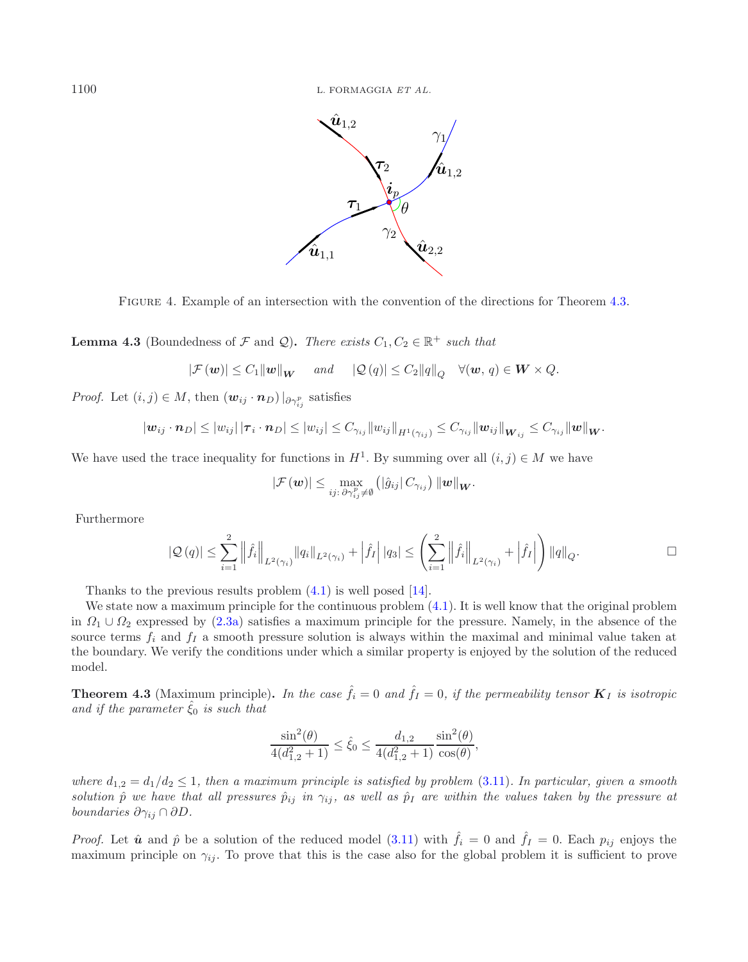

<span id="page-11-1"></span>Figure 4. Example of an intersection with the convention of the directions for Theorem [4.3.](#page-11-0)

**Lemma 4.3** (Boundedness of F and Q). There exists  $C_1, C_2 \in \mathbb{R}^+$  such that

$$
|\mathcal{F}(\boldsymbol{w})| \leq C_1 ||\boldsymbol{w}||_{\boldsymbol{W}}
$$
 and  $|\mathcal{Q}(q)| \leq C_2 ||q||_Q \quad \forall (\boldsymbol{w}, q) \in \boldsymbol{W} \times Q$ .

*Proof.* Let  $(i, j) \in M$ , then  $(\mathbf{w}_{ij} \cdot \mathbf{n}_D)|_{\partial \gamma_{ij}^p}$  satisfies

$$
|\bm{w}_{ij}\cdot\bm{n}_D|\leq |w_{ij}|\,|\bm{\tau}_i\cdot\bm{n}_D|\leq |w_{ij}|\leq C_{\gamma_{ij}}\|w_{ij}\|_{H^1(\gamma_{ij})}\leq C_{\gamma_{ij}}\|\bm{w}_{ij}\|_{\bm{W}_{ij}}\leq C_{\gamma_{ij}}\|\bm{w}\|_{\bm{W}}.
$$

We have used the trace inequality for functions in  $H^1$ . By summing over all  $(i, j) \in M$  we have

$$
\left|\mathcal{F}\left(\bm{w}\right)\right| \leq \max_{ij: \ \partial \gamma_{ij}^p \neq \emptyset}\left(\left|\hat{g}_{ij}\right|C_{\gamma_{ij}}\right) \left\|\bm{w}\right\|_{\bm{W}}.
$$

Furthermore

$$
\left| \mathcal{Q} \left( q \right) \right| \leq \sum_{i=1}^2 \left\| \widehat{f}_i \right\|_{L^2(\gamma_i)} \left\| q_i \right\|_{L^2(\gamma_i)} + \left| \widehat{f}_I \right| \left| q_3 \right| \leq \left( \sum_{i=1}^2 \left\| \widehat{f}_i \right\|_{L^2(\gamma_i)} + \left| \widehat{f}_I \right| \right) \left\| q \right\|_Q.
$$

Thanks to the previous results problem [\(4.1\)](#page-8-0) is well posed [\[14](#page-27-14)].

We state now a maximum principle for the continuous problem  $(4.1)$ . It is well know that the original problem in  $\Omega_1 \cup \Omega_2$  expressed by [\(2.3a\)](#page-3-2) satisfies a maximum principle for the pressure. Namely, in the absence of the source terms  $f_i$  and  $f_I$  a smooth pressure solution is always within the maximal and minimal value taken at the boundary. We verify the conditions under which a similar property is enjoyed by the solution of the reduced model.

<span id="page-11-0"></span>**Theorem 4.3** (Maximum principle). In the case  $\hat{f}_i = 0$  and  $\hat{f}_I = 0$ , if the permeability tensor  $\mathbf{K}_I$  is isotropic *and if the parameter*  $\xi_0$  *is such that* 

$$
\frac{\sin^2(\theta)}{4(d_{1.2}^2 + 1)} \le \hat{\xi}_0 \le \frac{d_{1,2}}{4(d_{1.2}^2 + 1)} \frac{\sin^2(\theta)}{\cos(\theta)},
$$

*where*  $d_{1,2} = d_1/d_2 \leq 1$ , then a maximum principle is satisfied by problem [\(3.11\)](#page-7-1). In particular, given a smooth *solution*  $\hat{p}$  *we have that all pressures*  $\hat{p}_{ij}$  *in*  $\gamma_{ij}$ *, as well as*  $\hat{p}_I$  *are within the values taken by the pressure at boundaries*  $\partial \gamma_{ij} \cap \partial D$ *.* 

*Proof.* Let  $\hat{u}$  and  $\hat{p}$  be a solution of the reduced model [\(3.11\)](#page-7-1) with  $\hat{f}_i = 0$  and  $\hat{f}_I = 0$ . Each  $p_{ij}$  enjoys the maximum principle on  $\gamma_{ij}$ . To prove that this is the case also for the global problem it is sufficient to prove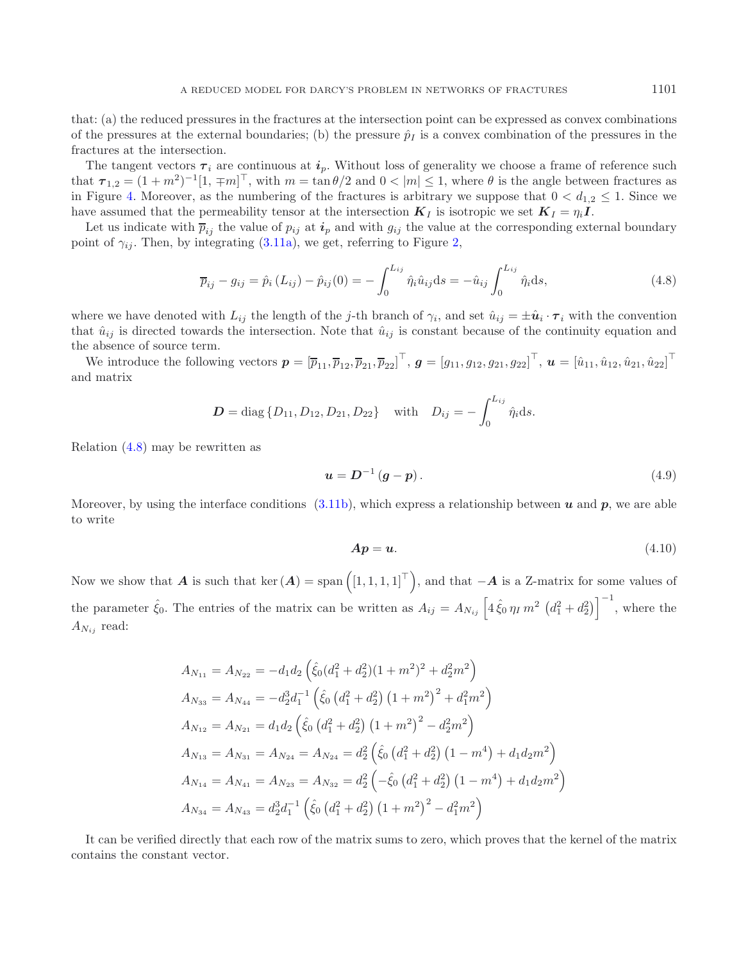that: (a) the reduced pressures in the fractures at the intersection point can be expressed as convex combinations of the pressures at the external boundaries; (b) the pressure  $\hat{p}_I$  is a convex combination of the pressures in the fractures at the intersection.

The tangent vectors  $\tau_i$  are continuous at  $i_p$ . Without loss of generality we choose a frame of reference such that  $\tau_{1,2} = (1+m^2)^{-1}[1, \pm m]^{\top}$ , with  $m = \tan \theta/2$  and  $0 < |m| \le 1$ , where  $\theta$  is the angle between fractures as in Figure 4. Moreover, as the numbering of the fractures is arbitrary we suppose that  $0 < d_{1,2} < 1$ . Since w in Figure [4.](#page-11-1) Moreover, as the numbering of the fractures is arbitrary we suppose that  $0 < d_{1,2} \leq 1$ . Since we have assumed that the permeability tensor at the intersection  $K_I$  is isotropic we set  $K_I = \eta_i I$ .

Let us indicate with  $\overline{p}_{ij}$  the value of  $p_{ij}$  at  $\overline{i}_p$  and with  $g_{ij}$  the value at the corresponding external boundary point of  $\gamma_{ij}$ . Then, by integrating [\(3.11a\)](#page-7-2), we get, referring to Figure [2,](#page-4-1)

<span id="page-12-0"></span>
$$
\overline{p}_{ij} - g_{ij} = \hat{p}_i (L_{ij}) - \hat{p}_{ij}(0) = -\int_0^{L_{ij}} \hat{\eta}_i \hat{u}_{ij} ds = -\hat{u}_{ij} \int_0^{L_{ij}} \hat{\eta}_i ds,
$$
\n(4.8)

where we have denoted with  $L_{ij}$  the length of the j-th branch of  $\gamma_i$ , and set  $\hat{u}_{ij} = \pm \hat{u}_i \cdot \tau_i$  with the convention that  $\hat{u}_{ij}$  is directed towards the intersection. Note that  $\hat{u}_{ij}$  is constant because of the continuity equation and the absence of source term.

We introduce the following vectors  $p = [\bar{p}_{11}, \bar{p}_{12}, \bar{p}_{21}, \bar{p}_{22}]^\top$ ,  $g = [g_{11}, g_{12}, g_{21}, g_{22}]^\top$ ,  $u = [\hat{u}_{11}, \hat{u}_{12}, \hat{u}_{21}, \hat{u}_{22}]^\top$ and matrix

$$
D = \text{diag} \{ D_{11}, D_{12}, D_{21}, D_{22} \} \quad \text{with} \quad D_{ij} = -\int_0^{L_{ij}} \hat{\eta}_i \, \mathrm{d}s.
$$

Relation [\(4.8\)](#page-12-0) may be rewritten as

<span id="page-12-2"></span><span id="page-12-1"></span>
$$
u = D^{-1} (g - p). \tag{4.9}
$$

Moreover, by using the interface conditions  $(3.11b)$ , which express a relationship between *u* and *p*, we are able to write

$$
Ap = u.\t\t(4.10)
$$

Now we show that *A* is such that ker  $(A)$  = span  $([1, 1, 1, 1]^{\top})$ , and that  $-A$  is a Z-matrix for some values of the parameter  $\hat{\xi}_0$ . The entries of the matrix can be written as  $A_{ij} = A_{Ni} \left[ 4 \hat{\xi}_0 \eta_I m^2 \left( d_1^2 + d_2^2 \right) \right]^{-1}$ , where the  $A_{N_{ij}}$  read:

$$
A_{N_{11}} = A_{N_{22}} = -d_1 d_2 \left( \hat{\xi}_0 (d_1^2 + d_2^2)(1 + m^2)^2 + d_2^2 m^2 \right)
$$
  
\n
$$
A_{N_{33}} = A_{N_{44}} = -d_2^3 d_1^{-1} \left( \hat{\xi}_0 (d_1^2 + d_2^2) (1 + m^2)^2 + d_1^2 m^2 \right)
$$
  
\n
$$
A_{N_{12}} = A_{N_{21}} = d_1 d_2 \left( \hat{\xi}_0 (d_1^2 + d_2^2) (1 + m^2)^2 - d_2^2 m^2 \right)
$$
  
\n
$$
A_{N_{13}} = A_{N_{31}} = A_{N_{24}} = A_{N_{24}} = d_2^2 \left( \hat{\xi}_0 (d_1^2 + d_2^2) (1 - m^4) + d_1 d_2 m^2 \right)
$$
  
\n
$$
A_{N_{14}} = A_{N_{41}} = A_{N_{23}} = A_{N_{32}} = d_2^2 \left( -\hat{\xi}_0 (d_1^2 + d_2^2) (1 - m^4) + d_1 d_2 m^2 \right)
$$
  
\n
$$
A_{N_{34}} = A_{N_{43}} = d_2^3 d_1^{-1} \left( \hat{\xi}_0 (d_1^2 + d_2^2) (1 + m^2)^2 - d_1^2 m^2 \right)
$$

It can be verified directly that each row of the matrix sums to zero, which proves that the kernel of the matrix contains the constant vector.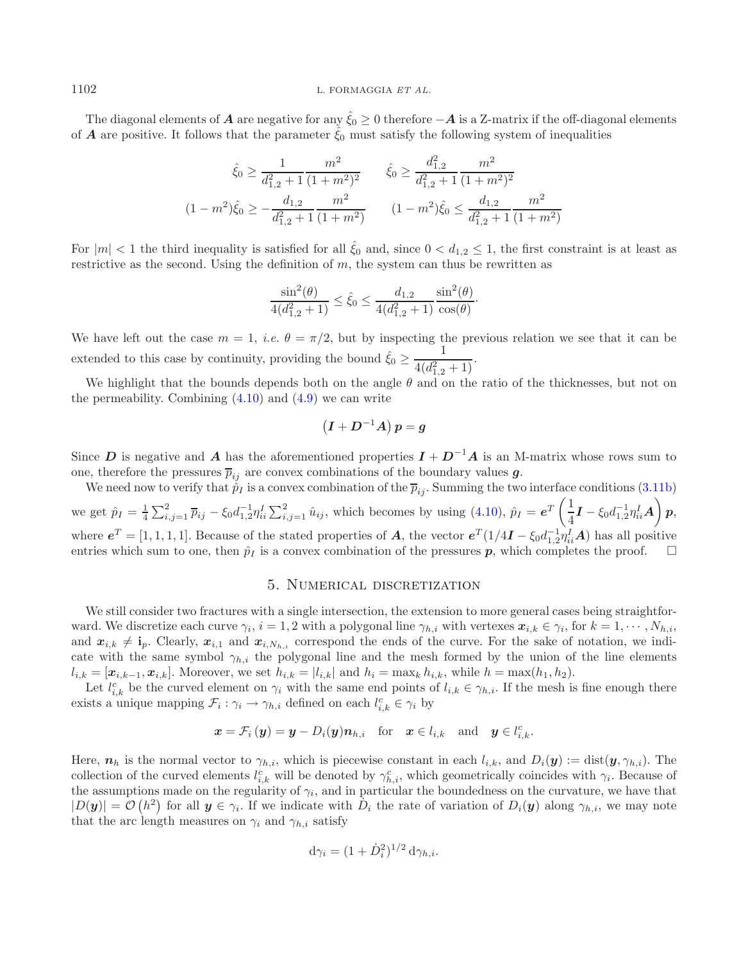The diagonal elements of *A* are negative for any  $\xi_0 \geq 0$  therefore  $-A$  is a Z-matrix if the off-diagonal elements of *A* are positive. It follows that the parameter  $\hat{\xi}_0$  must satisfy the following system of inequalities

$$
\hat{\xi}_0 \ge \frac{1}{d_{1,2}^2 + 1} \frac{m^2}{(1 + m^2)^2} \qquad \hat{\xi}_0 \ge \frac{d_{1,2}^2}{d_{1,2}^2 + 1} \frac{m^2}{(1 + m^2)^2}
$$

$$
(1 - m^2)\hat{\xi}_0 \ge -\frac{d_{1,2}}{d_{1,2}^2 + 1} \frac{m^2}{(1 + m^2)} \qquad (1 - m^2)\hat{\xi}_0 \le \frac{d_{1,2}}{d_{1,2}^2 + 1} \frac{m^2}{(1 + m^2)}
$$

For  $|m| < 1$  the third inequality is satisfied for all  $\hat{\xi}_0$  and, since  $0 < d_{1,2} \le 1$ , the first constraint is at least as restrictive as the second. Using the definition of  $m$ , the system can thus be rewritten as

$$
\frac{\sin^2(\theta)}{4(d_{1,2}^2 + 1)} \le \hat{\xi}_0 \le \frac{d_{1,2}}{4(d_{1,2}^2 + 1)} \frac{\sin^2(\theta)}{\cos(\theta)}.
$$

We have left out the case  $m = 1$ , *i.e.*  $\theta = \pi/2$ , but by inspecting the previous relation we see that it can be extended to this case by continuity, providing the bound  $\hat{\xi}_0 \geq \frac{1}{4\hat{\xi}_0^2}$  $\frac{1}{4(d_{1,2}^2+1)}$ .

We highlight that the bounds depends both on the angle  $\theta$  and on the ratio of the thicknesses, but not on the permeability. Combining  $(4.10)$  and  $(4.9)$  we can write

$$
(I+D^{-1}A) p = g
$$

Since *D* is negative and *A* has the aforementioned properties  $I + D^{-1}A$  is an M-matrix whose rows sum to one, therefore the pressures  $\overline{p}_{ij}$  are convex combinations of the boundary values *g*.

We need now to verify that  $\hat{p}_I$  is a convex combination of the  $\overline{p}_{ij}$ . Summing the two interface conditions [\(3.11b\)](#page-7-0) we get  $\hat{p}_I = \frac{1}{4} \sum_{i,j=1}^2 \overline{p}_{ij} - \xi_0 d_{1,2}^{-1} \eta_{ii}^I \sum_{i,j=1}^2 \hat{u}_{ij}$ , which becomes by using [\(4.10\)](#page-12-1),  $\hat{p}_I = e^T \left(\frac{1}{4}\right)$  $\frac{1}{4}I - \xi_0 d_{1,2}^{-1} \eta_{ii}^I A$  *p*, where  $e^T = [1, 1, 1, 1]$ . Because of the stated properties of *A*, the vector  $e^T (1/4I - \xi_0 d_{1,2}^{-1} \eta_i^T A)$  has all positive entries which sum to one then  $\hat{\eta}_i$  is a convex combination of the pressures **n** which comp entries which sum to one, then  $\hat{p}_I$  is a convex combination of the pressures  $p$ , which completes the proof.

# 5. Numerical discretization

We still consider two fractures with a single intersection, the extension to more general cases being straightforward. We discretize each curve  $\gamma_i$ ,  $i = 1, 2$  with a polygonal line  $\gamma_{h,i}$  with vertexes  $x_{i,k} \in \gamma_i$ , for  $k = 1, \dots, N_{h,i}$ , and  $x_{i,k} \neq i_p$ . Clearly,  $x_{i,1}$  and  $x_{i,N_h,i}$  correspond the ends of the curve. For the sake of notation, we indi-<br>cate with the same symbol  $\alpha_i$ , the polygonal line and the mesh formed by the union of the line eleme cate with the same symbol  $\gamma_{h,i}$  the polygonal line and the mesh formed by the union of the line elements  $l_{i,k} = [\mathbf{x}_{i,k-1}, \mathbf{x}_{i,k}]$ . Moreover, we set  $h_{i,k} = |l_{i,k}|$  and  $h_i = \max_k h_{i,k}$ , while  $h = \max(h_1, h_2)$ .

Let  $l_{i,k}^c$  be the curved element on  $\gamma_i$  with the same end points of  $l_{i,k} \in \gamma_{h,i}$ . If the mesh is fine enough there exists a unique mapping  $\mathcal{F}_i : \gamma_i \to \gamma_{h,i}$  defined on each  $l_{i,k}^c \in \gamma_i$  by

$$
\boldsymbol{x} = \mathcal{F}_i \left( \boldsymbol{y} \right) = \boldsymbol{y} - D_i(\boldsymbol{y}) \boldsymbol{n}_{h,i} \quad \text{for} \quad \boldsymbol{x} \in l_{i,k} \quad \text{and} \quad \boldsymbol{y} \in l_{i,k}^c.
$$

Here,  $n_h$  is the normal vector to  $\gamma_{h,i}$ , which is piecewise constant in each  $l_{i,k}$ , and  $D_i(\mathbf{y}) := \text{dist}(\mathbf{y}, \gamma_{h,i})$ . The collection of the curved elements  $l_{i,k}^c$  will be denoted by  $\gamma_{h,i}^c$ , which geometrically coincides with  $\gamma_i$ . Because of the assumptions made on the regularity of  $\gamma_i$ , and in particular the boundedness on the curvature, we have that  $|D(\boldsymbol{y})| = \mathcal{O}(h^2)$  for all  $\boldsymbol{y} \in \gamma_i$ . If we indicate with  $D_i$  the rate of variation of  $D_i(\boldsymbol{y})$  along  $\gamma_{h,i}$ , we may note that the arc length measures on  $\gamma_i$  and  $\gamma_{h,i}$  satisfy

$$
\mathrm{d}\gamma_i = (1 + \dot{D}_i^2)^{1/2} \,\mathrm{d}\gamma_{h,i}.
$$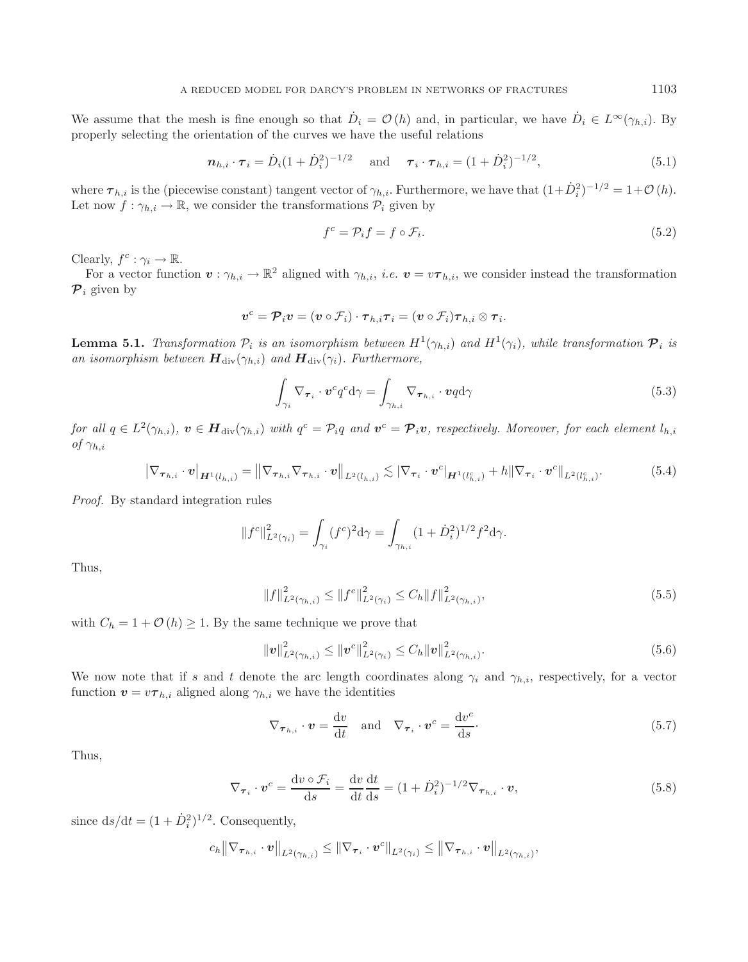We assume that the mesh is fine enough so that  $\dot{D}_i = \mathcal{O}(h)$  and, in particular, we have  $\dot{D}_i \in L^{\infty}(\gamma_{h,i})$ . By properly selecting the orientation of the curves we have the useful relations

$$
\boldsymbol{n}_{h,i} \cdot \boldsymbol{\tau}_i = \dot{D}_i (1 + \dot{D}_i^2)^{-1/2} \quad \text{and} \quad \boldsymbol{\tau}_i \cdot \boldsymbol{\tau}_{h,i} = (1 + \dot{D}_i^2)^{-1/2}, \tag{5.1}
$$

where  $\tau_{h,i}$  is the (piecewise constant) tangent vector of  $\gamma_{h,i}$ . Furthermore, we have that  $(1+\dot{D}_i^2)^{-1/2} = 1+\mathcal{O}(h)$ .<br>Let now  $f : \gamma_{h,i} \to \mathbb{R}$  we consider the transformations  $\mathcal{P}_i$  given by Let now  $f: \gamma_{h,i} \to \mathbb{R}$ , we consider the transformations  $\mathcal{P}_i$  given by

$$
f^c = \mathcal{P}_i f = f \circ \mathcal{F}_i. \tag{5.2}
$$

Clearly,  $f^c : \gamma_i \to \mathbb{R}$ .

For a vector function  $v : \gamma_{h,i} \to \mathbb{R}^2$  aligned with  $\gamma_{h,i}$ , *i.e.*  $v = v\tau_{h,i}$ , we consider instead the transformation  $\mathcal{P}_i$  given by

$$
\boldsymbol{v}^c = \boldsymbol{\mathcal{P}}_i \boldsymbol{v} = (\boldsymbol{v} \circ \mathcal{F}_i) \cdot \boldsymbol{\tau}_{h,i} \boldsymbol{\tau}_i = (\boldsymbol{v} \circ \mathcal{F}_i) \boldsymbol{\tau}_{h,i} \otimes \boldsymbol{\tau}_i.
$$

<span id="page-14-5"></span>**Lemma 5.1.** *Transformation*  $\mathcal{P}_i$  *is an isomorphism between*  $H^1(\gamma_{i,i})$  *and*  $H^1(\gamma_i)$ *, while transformation*  $\mathcal{P}_i$  *is an isomorphism between*  $\mathbf{H}_{div}(\gamma_{h,i})$  *and*  $\mathbf{H}_{div}(\gamma_i)$ *. Furthermore,* 

<span id="page-14-0"></span>
$$
\int_{\gamma_i} \nabla_{\boldsymbol{\tau}_i} \cdot \boldsymbol{v}^c q^c \mathrm{d}\gamma = \int_{\gamma_{h,i}} \nabla_{\boldsymbol{\tau}_{h,i}} \cdot \boldsymbol{v} q \mathrm{d}\gamma \tag{5.3}
$$

*for all*  $q \in L^2(\gamma_{h,i})$ ,  $v \in H_{div}(\gamma_{h,i})$  *with*  $q^c = \mathcal{P}_i q$  *and*  $v^c = \mathcal{P}_i v$ , *respectively. Moreover, for each element*  $l_{h,i}$ *of*  $\gamma_{h,i}$ 

$$
\left|\nabla_{\boldsymbol{\tau}_{h,i}} \cdot \boldsymbol{v}\right|_{\boldsymbol{H}^{1}(l_{h,i})} = \left\|\nabla_{\boldsymbol{\tau}_{h,i}} \nabla_{\boldsymbol{\tau}_{h,i}} \cdot \boldsymbol{v}\right\|_{L^{2}(l_{h,i})} \lesssim \left|\nabla_{\boldsymbol{\tau}_{i}} \cdot \boldsymbol{v}^{c}\right|_{\boldsymbol{H}^{1}(l_{h,i}^{c})} + h\|\nabla_{\boldsymbol{\tau}_{i}} \cdot \boldsymbol{v}^{c}\right\|_{L^{2}(l_{h,i}^{c})}.
$$
\n(5.4)

*Proof.* By standard integration rules

$$
||f^{c}||_{L^{2}(\gamma_{i})}^{2} = \int_{\gamma_{i}} (f^{c})^{2} d\gamma = \int_{\gamma_{h,i}} (1 + \dot{D}_{i}^{2})^{1/2} f^{2} d\gamma.
$$

Thus,

<span id="page-14-3"></span><span id="page-14-2"></span>
$$
||f||_{L^{2}(\gamma_{h,i})}^{2} \leq ||f^{c}||_{L^{2}(\gamma_{i})}^{2} \leq C_{h}||f||_{L^{2}(\gamma_{h,i})}^{2},\tag{5.5}
$$

with  $C_h = 1 + \mathcal{O}(h) \geq 1$ . By the same technique we prove that

$$
\|\mathbf{v}\|_{L^2(\gamma_{h,i})}^2 \le \|\mathbf{v}^c\|_{L^2(\gamma_i)}^2 \le C_h \|\mathbf{v}\|_{L^2(\gamma_{h,i})}^2.
$$
\n(5.6)

We now note that if s and t denote the arc length coordinates along  $\gamma_i$  and  $\gamma_{h,i}$ , respectively, for a vector function  $\mathbf{v} = v \boldsymbol{\tau}_{h,i}$  aligned along  $\gamma_{h,i}$  we have the identities

$$
\nabla_{\boldsymbol{\tau}_{h,i}} \cdot \boldsymbol{v} = \frac{\mathrm{d}v}{\mathrm{d}t} \quad \text{and} \quad \nabla_{\boldsymbol{\tau}_i} \cdot \boldsymbol{v}^c = \frac{\mathrm{d}v^c}{\mathrm{d}s}.
$$

Thus,

$$
\nabla_{\boldsymbol{\tau}_i} \cdot \boldsymbol{v}^c = \frac{\mathrm{d}v \circ \mathcal{F}_i}{\mathrm{d}s} = \frac{\mathrm{d}v}{\mathrm{d}t} \frac{\mathrm{d}t}{\mathrm{d}s} = (1 + \dot{D}_i^2)^{-1/2} \nabla_{\boldsymbol{\tau}_{h,i}} \cdot \boldsymbol{v},\tag{5.8}
$$

since  $ds/dt = (1 + \dot{D}_i^2)^{1/2}$ . Consequently,

$$
c_h \big\|\nabla_{\boldsymbol{\tau}_{h,i}} \cdot \boldsymbol{v} \big\|_{L^2(\gamma_{h,i})} \le \|\nabla_{\boldsymbol{\tau}_i} \cdot \boldsymbol{v}^c\|_{L^2(\gamma_i)} \le \big\|\nabla_{\boldsymbol{\tau}_{h,i}} \cdot \boldsymbol{v} \big\|_{L^2(\gamma_{h,i})},
$$

<span id="page-14-4"></span><span id="page-14-1"></span>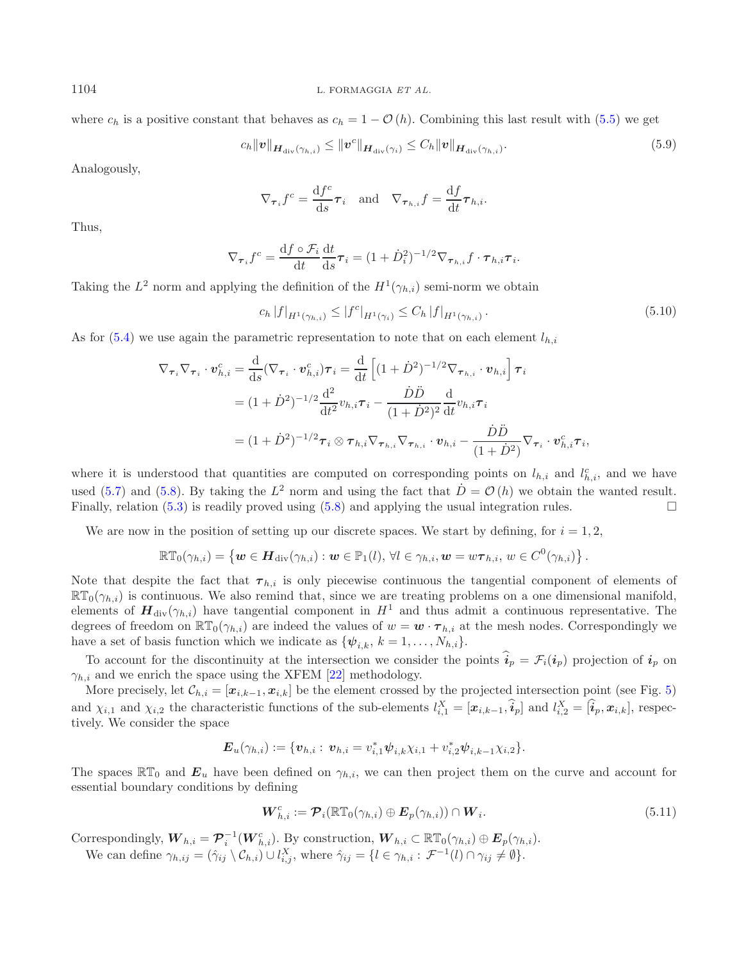where  $c_h$  is a positive constant that behaves as  $c_h = 1 - \mathcal{O}(h)$ . Combining this last result with [\(5.5\)](#page-14-0) we get

$$
c_h \|\mathbf{v}\|_{\mathbf{H}_{\text{div}}(\gamma_{h,i})} \le \|\mathbf{v}^c\|_{\mathbf{H}_{\text{div}}(\gamma_i)} \le C_h \|\mathbf{v}\|_{\mathbf{H}_{\text{div}}(\gamma_{h,i})}.
$$
\n
$$
(5.9)
$$

Analogously,

<span id="page-15-0"></span>
$$
\nabla_{\boldsymbol{\tau}_i} f^c = \frac{\mathrm{d} f^c}{\mathrm{d} s} \boldsymbol{\tau}_i \quad \text{and} \quad \nabla_{\boldsymbol{\tau}_{h,i}} f = \frac{\mathrm{d} f}{\mathrm{d} t} \boldsymbol{\tau}_{h,i}.
$$

Thus,

$$
\nabla_{\boldsymbol{\tau}_i} f^c = \frac{\mathrm{d} f \circ \mathcal{F}_i}{\mathrm{d} t} \frac{\mathrm{d} t}{\mathrm{d} s} \boldsymbol{\tau}_i = (1 + \dot{D}_i^2)^{-1/2} \nabla_{\boldsymbol{\tau}_{h,i}} f \cdot \boldsymbol{\tau}_{h,i} \boldsymbol{\tau}_i.
$$

Taking the  $L^2$  norm and applying the definition of the  $H^1(\gamma_{h,i})$  semi-norm we obtain

$$
c_h |f|_{H^1(\gamma_{h,i})} \le |f^c|_{H^1(\gamma_i)} \le C_h |f|_{H^1(\gamma_{h,i})}.
$$
\n(5.10)

As for  $(5.4)$  we use again the parametric representation to note that on each element  $l_{h,i}$ 

$$
\nabla_{\boldsymbol{\tau}_i} \nabla_{\boldsymbol{\tau}_i} \cdot \boldsymbol{v}_{h,i}^c = \frac{\mathrm{d}}{\mathrm{d}s} (\nabla_{\boldsymbol{\tau}_i} \cdot \boldsymbol{v}_{h,i}^c) \boldsymbol{\tau}_i = \frac{\mathrm{d}}{\mathrm{d}t} \left[ (1+\dot{D}^2)^{-1/2} \nabla_{\boldsymbol{\tau}_{h,i}} \cdot \boldsymbol{v}_{h,i} \right] \boldsymbol{\tau}_i
$$
  
\n
$$
= (1+\dot{D}^2)^{-1/2} \frac{\mathrm{d}^2}{\mathrm{d}t^2} v_{h,i} \boldsymbol{\tau}_i - \frac{\dot{D}\ddot{D}}{(1+\dot{D}^2)^2} \frac{\mathrm{d}}{\mathrm{d}t} v_{h,i} \boldsymbol{\tau}_i
$$
  
\n
$$
= (1+\dot{D}^2)^{-1/2} \boldsymbol{\tau}_i \otimes \boldsymbol{\tau}_{h,i} \nabla_{\boldsymbol{\tau}_{h,i}} \nabla_{\boldsymbol{\tau}_{h,i}} \cdot \boldsymbol{v}_{h,i} - \frac{\dot{D}\ddot{D}}{(1+\dot{D}^2)} \nabla_{\boldsymbol{\tau}_i} \cdot \boldsymbol{v}_{h,i}^c \boldsymbol{\tau}_i,
$$

where it is understood that quantities are computed on corresponding points on  $l_{h,i}$  and  $l_{h,i}^c$ , and we have used [\(5.7\)](#page-14-2) and [\(5.8\)](#page-14-3). By taking the  $L^2$  norm and using the fact that  $\dot{D} = \mathcal{O}(h)$  we obtain the wanted result. Finally, relation [\(5.3\)](#page-14-4) is readily proved using [\(5.8\)](#page-14-3) and applying the usual integration rules.  $\Box$ 

We are now in the position of setting up our discrete spaces. We start by defining, for  $i = 1, 2$ ,

 $\mathbb{RT}_0(\gamma_{h,i}) = \{ \boldsymbol{w} \in \boldsymbol{H}_{\mathrm{div}}(\gamma_{h,i}) : \boldsymbol{w} \in \mathbb{P}_1(l), \forall l \in \gamma_{h,i}, \boldsymbol{w} = w \boldsymbol{\tau}_{h,i}, w \in C^0(\gamma_{h,i}) \}.$ 

Note that despite the fact that  $\tau_{h,i}$  is only piecewise continuous the tangential component of elements of  $\mathbb{RT}_0(\gamma_{h,i})$  is continuous. We also remind that, since we are treating problems on a one dimensional manifold, elements of  $H_{\text{div}}(\gamma_{h,i})$  have tangential component in  $H^1$  and thus admit a continuous representative. The degrees of freedom on  $\mathbb{RT}_0(\gamma_{h,i})$  are indeed the values of  $w = \mathbf{w} \cdot \boldsymbol{\tau}_{h,i}$  at the mesh nodes. Correspondingly we have a set of basis function which we indicate as  $\{\psi_{i,k}, k = 1, \ldots, N_{h,i}\}.$ 

To account for the discontinuity at the intersection we consider the points  $\hat{i}_p = \mathcal{F}_i(i_p)$  projection of  $i_p$  on  $\gamma_{h,i}$  and we enrich the space using the XFEM [\[22](#page-27-18)] methodology.

More precisely, let  $\mathcal{C}_{h,i} = [\mathbf{x}_{i,k-1}, \mathbf{x}_{i,k}]$  be the element crossed by the projected intersection point (see Fig. [5\)](#page-16-0) and  $\chi_{i,1}$  and  $\chi_{i,2}$  the characteristic functions of the sub-elements  $l_{i,1}^X = [\hat{x}_{i,k-1}, \hat{i}_p]$  and  $l_{i,2}^X = [\hat{i}_p, \hat{x}_{i,k}]$ , respectively. We consider the space tively. We consider the space

$$
\boldsymbol{E}_u(\gamma_{h,i}) := \{ \boldsymbol{v}_{h,i} : \, \boldsymbol{v}_{h,i} = v_{i,1}^* \boldsymbol{\psi}_{i,k} \chi_{i,1} + v_{i,2}^* \boldsymbol{\psi}_{i,k-1} \chi_{i,2} \}.
$$

The spaces  $\mathbb{RT}_0$  and  $\mathbf{E}_u$  have been defined on  $\gamma_{h,i}$ , we can then project them on the curve and account for essential boundary conditions by defining

$$
\boldsymbol{W}_{h,i}^c := \boldsymbol{\mathcal{P}}_i(\mathbb{RT}_0(\gamma_{h,i}) \oplus \boldsymbol{E}_p(\gamma_{h,i})) \cap \boldsymbol{W}_i.
$$
\n(5.11)

Correspondingly,  $W_{h,i} = \mathcal{P}_i^{-1}(W_{h,i}^c)$ . By construction,  $W_{h,i} \subset \mathbb{RT}_0(\gamma_{h,i}) \oplus E_p(\gamma_{h,i})$ .<br>We see define  $\gamma = (\hat{\epsilon}_h \setminus \mathcal{C}_h) \cup \mathcal{X}_h$  where  $\hat{\epsilon}_h = (I \in \mathcal{X}_h \setminus \mathcal{F}^{-1}(I) \cap \mathcal{X}_h \neq \emptyset)$ .

We can define  $\gamma_{h,ij} = (\hat{\gamma}_{ij} \setminus \mathcal{C}_{h,i}) \cup l_{i,j}^X$ , where  $\hat{\gamma}_{ij} = \{l \in \gamma_{h,i} : \mathcal{F}^{-1}(l) \cap \gamma_{ij} \neq \emptyset\}.$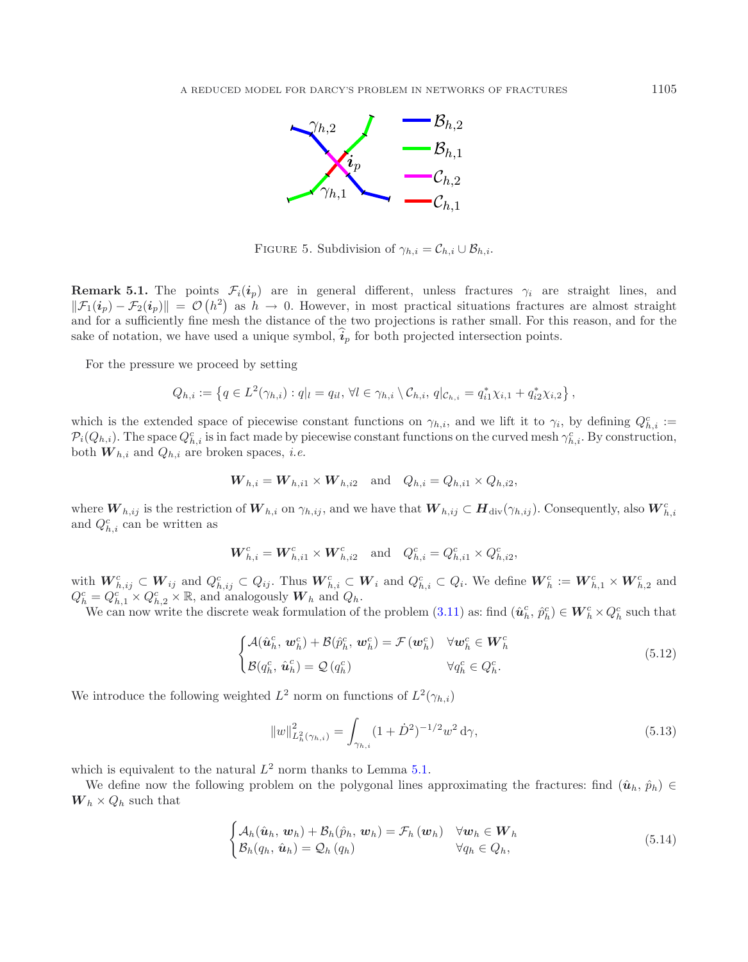<span id="page-16-0"></span>

FIGURE 5. Subdivision of  $\gamma_{h,i} = C_{h,i} \cup \mathcal{B}_{h,i}$ .

**Remark 5.1.** The points  $\mathcal{F}_i(i_p)$  are in general different, unless fractures  $\gamma_i$  are straight lines, and  $\|\mathcal{F}_1(i_p) - \mathcal{F}_2(i_p)\| = \mathcal{O}(h^2)$  as  $h \to 0$ . However, in most practical situations fractures are almost straight and for a sufficiently fine mesh the distance of the two projections is rather small. For this reason, a and for a sufficiently fine mesh the distance of the two projections is rather small. For this reason, and for the sake of notation, we have used a unique symbol,  $\hat{i}_p$  for both projected intersection points.

For the pressure we proceed by setting

$$
Q_{h,i} := \left\{ q \in L^2(\gamma_{h,i}) : q|_{l} = q_{il}, \forall l \in \gamma_{h,i} \setminus C_{h,i}, q|_{C_{h,i}} = q_{i1}^* \chi_{i,1} + q_{i2}^* \chi_{i,2} \right\},\
$$

which is the extended space of piecewise constant functions on  $\gamma_{h,i}$ , and we lift it to  $\gamma_i$ , by defining  $Q_{h,i}^c$ :  $\mathcal{P}_i(Q_{h,i})$ . The space  $Q_{h,i}^c$  is in fact made by piecewise constant functions on the curved mesh  $\gamma_{h,i}^c$ . By construction, both  $W_{h,i}$  and  $Q_{h,i}$  are broken spaces, *i.e.* 

<span id="page-16-1"></span>
$$
W_{h,i} = W_{h,i1} \times W_{h,i2}
$$
 and  $Q_{h,i} = Q_{h,i1} \times Q_{h,i2}$ ,

where  $W_{h,ij}$  is the restriction of  $W_{h,i}$  on  $\gamma_{h,ij}$ , and we have that  $W_{h,ij} \subset H_{div}(\gamma_{h,ij})$ . Consequently, also  $W_{h,i}^c$ and  $Q_{h,i}^c$  can be written as

<span id="page-16-3"></span>
$$
\bm{W}_{h,i}^c = \bm{W}_{h,i1}^c \times \bm{W}_{h,i2}^c \text{ and } Q_{h,i}^c = Q_{h,i1}^c \times Q_{h,i2}^c,
$$

with  $W_{h,ij}^c \subset W_{ij}$  and  $Q_{h,j}^c \subset Q_{ij}$ . Thus  $W_{h,i}^c \subset W_i$  and  $Q_{h,i}^c \subset Q_i$ . We define  $W_h^c := W_{h,1}^c \times W_{h,2}^c$  and  $Q_c^c - Q_c^c \times \mathbb{R}$  and analogously  $W_i$ , and  $Q_i$ .  $Q_h^c = Q_{h,1}^{c^{\infty},\mathbf{y}} \times Q_{h,2}^c \times \mathbb{R}$ , and analogously  $W_h$  and  $Q_h$ .<br>We can now write the discrete weak formulation of

We can now write the discrete weak formulation of the problem  $(3.11)$  as: find  $(\hat{\mathbf{u}}_h^c, \hat{p}_h^c) \in \mathbf{W}_h^c \times Q_h^c$  such that

$$
\begin{cases}\n\mathcal{A}(\hat{\boldsymbol{u}}_h^c, \boldsymbol{w}_h^c) + \mathcal{B}(\hat{p}_h^c, \boldsymbol{w}_h^c) = \mathcal{F}(\boldsymbol{w}_h^c) & \forall \boldsymbol{w}_h^c \in \boldsymbol{W}_h^c \\
\mathcal{B}(q_h^c, \hat{\boldsymbol{u}}_h^c) = \mathcal{Q}(q_h^c) & \forall q_h^c \in Q_h^c.\n\end{cases}
$$
\n(5.12)

We introduce the following weighted  $L^2$  norm on functions of  $L^2(\gamma_{h,i})$ 

<span id="page-16-2"></span>
$$
||w||_{L_h^2(\gamma_{h,i})}^2 = \int_{\gamma_{h,i}} (1+\dot{D}^2)^{-1/2} w^2 \, d\gamma,
$$
\n(5.13)

which is equivalent to the natural  $L^2$  norm thanks to Lemma [5.1.](#page-14-5)

We define now the following problem on the polygonal lines approximating the fractures: find  $(\hat{u}_h, \hat{p}_h)$  $W_h \times Q_h$  such that

$$
\begin{cases}\n\mathcal{A}_{h}(\hat{\boldsymbol{u}}_{h}, \boldsymbol{w}_{h}) + \mathcal{B}_{h}(\hat{p}_{h}, \boldsymbol{w}_{h}) = \mathcal{F}_{h}(\boldsymbol{w}_{h}) & \forall \boldsymbol{w}_{h} \in \boldsymbol{W}_{h} \\
\mathcal{B}_{h}(q_{h}, \hat{\boldsymbol{u}}_{h}) = \mathcal{Q}_{h}(q_{h}) & \forall q_{h} \in Q_{h},\n\end{cases}
$$
\n(5.14)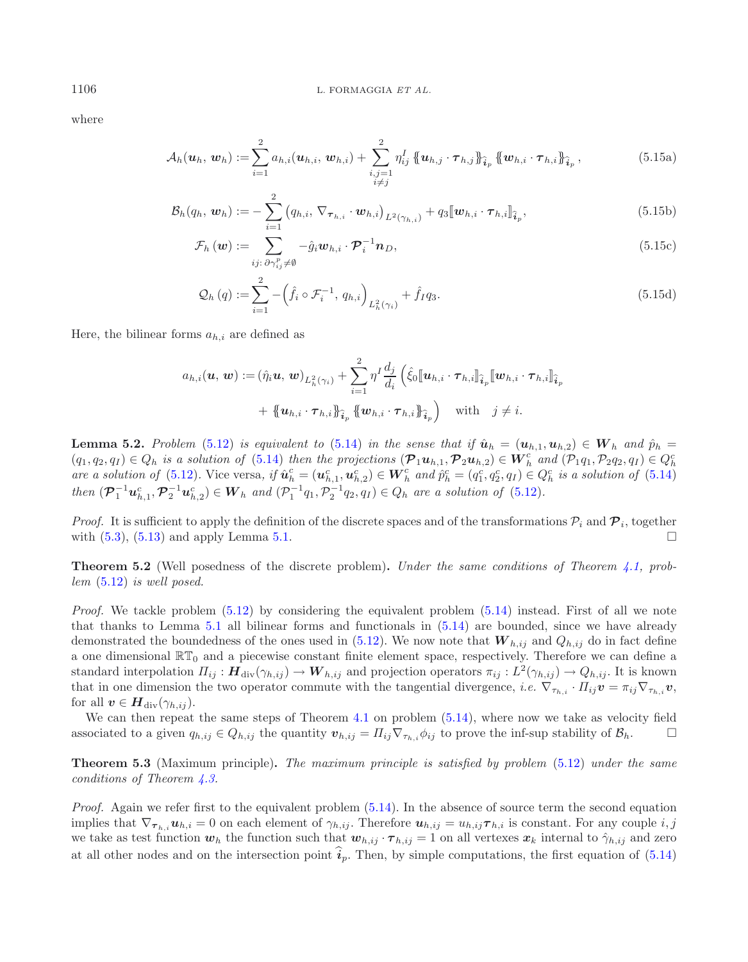where

$$
\mathcal{A}_{h}(\boldsymbol{u}_{h}, \boldsymbol{w}_{h}) := \sum_{i=1}^{2} a_{h,i}(\boldsymbol{u}_{h,i}, \boldsymbol{w}_{h,i}) + \sum_{\substack{i,j=1\\i \neq j}}^{2} \eta_{ij}^{I} \left\{ \boldsymbol{u}_{h,j} \cdot \boldsymbol{\tau}_{h,j} \right\}_{\widehat{i}_{p}} \left\{ \boldsymbol{w}_{h,i} \cdot \boldsymbol{\tau}_{h,i} \right\}_{\widehat{i}_{p}}, \qquad (5.15a)
$$

$$
\mathcal{B}_h(q_h, \boldsymbol{w}_h) := -\sum_{i=1}^2 \left( q_{h,i}, \nabla_{\boldsymbol{\tau}_{h,i}} \cdot \boldsymbol{w}_{h,i} \right)_{L^2(\gamma_{h,i})} + q_3 [\![\boldsymbol{w}_{h,i} \cdot \boldsymbol{\tau}_{h,i}]\!]_{\widehat{\boldsymbol{i}}_p},
$$
\n(5.15b)

$$
\mathcal{F}_h \left( \boldsymbol{w} \right) := \sum_{i j: \ \partial \gamma_{ij}^p \neq \emptyset} -\hat{g}_i \boldsymbol{w}_{h,i} \cdot \boldsymbol{\mathcal{P}}_i^{-1} \boldsymbol{n}_D,\tag{5.15c}
$$

$$
Q_h(q) := \sum_{i=1}^2 - \left(\hat{f}_i \circ \mathcal{F}_i^{-1}, q_{h,i}\right)_{L_h^2(\gamma_i)} + \hat{f}_I q_3.
$$
\n(5.15d)

Here, the bilinear forms  $a_{h,i}$  are defined as

$$
a_{h,i}(\boldsymbol{u},\boldsymbol{w}) := (\hat{\eta}_i \boldsymbol{u},\boldsymbol{w})_{L_h^2(\gamma_i)} + \sum_{i=1}^2 \eta^I \frac{d_j}{d_i} \left( \hat{\xi}_0 [\![ \boldsymbol{u}_{h,i} \cdot \boldsymbol{\tau}_{h,i} ]\!]_{\widehat{\boldsymbol{i}}_p} [\![ \boldsymbol{w}_{h,i} \cdot \boldsymbol{\tau}_{h,i} ]\!]_{\widehat{\boldsymbol{i}}_p}^2
$$

$$
+ [\![ \boldsymbol{u}_{h,i} \cdot \boldsymbol{\tau}_{h,i} ]\!]_{\widehat{\boldsymbol{i}}_p} [\![ \boldsymbol{w}_{h,i} \cdot \boldsymbol{\tau}_{h,i} ]\!]_{\widehat{\boldsymbol{i}}_p}^2
$$
 with  $j \neq i$ .

<span id="page-17-0"></span>**Lemma 5.2.** Problem [\(5.12\)](#page-16-1) is equivalent to [\(5.14\)](#page-16-2) in the sense that if  $\hat{u}_h = (\boldsymbol{u}_{h,1}, \boldsymbol{u}_{h,2}) \in \boldsymbol{W}_h$  and  $\hat{p}_h =$  $(q_1, q_2, q_1) \in Q_h$  *is a solution of* [\(5.14\)](#page-16-2) *then the projections*  $(\mathcal{P}_1 \mathbf{u}_{h,1}, \mathcal{P}_2 \mathbf{u}_{h,2}) \in W_h^c$  *and*  $(\mathcal{P}_1 q_1, \mathcal{P}_2 q_2, q_1) \in Q_h^c$ <br>*are a solution of* (5.12). Vice verse, if  $\hat{\mathbf{u}}_h^c = (\mathbf{u}^c - \mathbf$ *are a solution of* [\(5.12\)](#page-16-1). Vice versa, if  $\hat{u}_h^c = (u_{h,1}^c, u_{h,2}^c) \in W_h^c$  and  $\hat{p}_h^c = (q_1^c, q_2^c, q_1) \in Q_h^c$  *is a solution of* [\(5.14\)](#page-16-2) *then*  $(\mathcal{P}_1^{-1} u_{h,1}^c, \mathcal{P}_2^{-1} u_{h,2}^c) \in W_h$  *and*  $(\mathcal{P}_1^{-1} q_1, \mathcal{P}_2^{-1} q_2, q_I) \in Q_h$  *are a solution of* [\(5.12\)](#page-16-1)*.* 

*Proof.* It is sufficient to apply the definition of the discrete spaces and of the transformations  $\mathcal{P}_i$  and  $\mathcal{P}_i$ , together with  $(5.3)$ ,  $(5.13)$  and apply Lemma [5.1.](#page-14-5)  $\Box$ 

**Theorem 5.2** (Well posedness of the discrete problem)**.** *Under the same conditions of Theorem [4.1,](#page-9-1) problem* [\(5.12\)](#page-16-1) *is well posed.*

*Proof.* We tackle problem [\(5.12\)](#page-16-1) by considering the equivalent problem [\(5.14\)](#page-16-2) instead. First of all we note that thanks to Lemma [5.1](#page-14-5) all bilinear forms and functionals in [\(5.14\)](#page-16-2) are bounded, since we have already demonstrated the boundedness of the ones used in  $(5.12)$ . We now note that  $W_{h,ij}$  and  $Q_{h,ij}$  do in fact define a one dimensional  $\mathbb{RT}_0$  and a piecewise constant finite element space, respectively. Therefore we can define a standard interpolation  $\Pi_{ij} : H_{div}(\gamma_{h,ij}) \to W_{h,ij}$  and projection operators  $\pi_{ij} : L^2(\gamma_{h,ij}) \to Q_{h,ij}$ . It is known that in one dimension the two operator commute with the tangential divergence, *i.e.*  $\nabla_{\tau_{h,i}} \cdot \Pi_{ij} \mathbf{v} = \pi_{ij} \nabla_{\tau_{h,i}} \mathbf{v}$ , for all  $v \in H_{div}(\gamma_{h,ij}).$ 

We can then repeat the same steps of Theorem [4.1](#page-9-1) on problem  $(5.14)$ , where now we take as velocity field associated to a given  $q_{h,ij} \in Q_{h,ij}$  the quantity  $\mathbf{v}_{h,ij} = \prod_{ij} \nabla_{\tau_{h,i}} \phi_{ij}$  to prove the inf-sup stability of  $\mathcal{B}_h$ .

<span id="page-17-1"></span>**Theorem 5.3** (Maximum principle)**.** *The maximum principle is satisfied by problem* [\(5.12\)](#page-16-1) *under the same conditions of Theorem [4.3.](#page-11-0)*

*Proof.* Again we refer first to the equivalent problem [\(5.14\)](#page-16-2). In the absence of source term the second equation implies that  $\nabla_{\boldsymbol{\tau}_{h,i}} \boldsymbol{u}_{h,i} = 0$  on each element of  $\gamma_{h,ij}$ . Therefore  $\boldsymbol{u}_{h,ij} = u_{h,ij} \boldsymbol{\tau}_{h,i}$  is constant. For any couple i, j we take as test function  $w_h$  the function such that  $w_{h,ij} \cdot \tau_{h,ij} = 1$  on all vertexes  $x_k$  internal to  $\hat{\gamma}_{h,ij}$  and zero at all other nodes and on the intersection point  $i_p$ . Then, by simple computations, the first equation of  $(5.14)$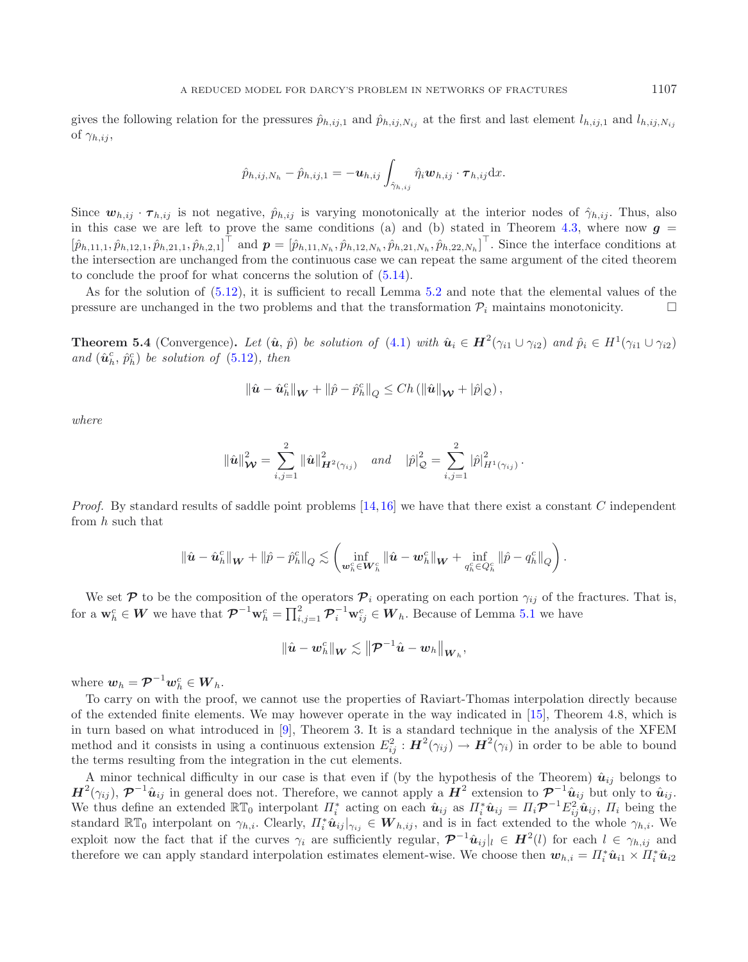gives the following relation for the pressures  $\hat{p}_{h,ij,1}$  and  $\hat{p}_{h,ij,N_{ij}}$  at the first and last element  $l_{h,ij,1}$  and  $l_{h,ij,N_{ij}}$ of  $\gamma_{h,ij}$ ,

$$
\hat{p}_{h,ij,N_h} - \hat{p}_{h,ij,1} = -\bm{u}_{h,ij} \int_{\hat{\gamma}_{h,ij}} \hat{\eta}_i \bm{w}_{h,ij} \cdot \bm{\tau}_{h,ij} \mathrm{d}x.
$$

Since  $w_{h,ij} \cdot \tau_{h,ij}$  is not negative,  $\hat{p}_{h,ij}$  is varying monotonically at the interior nodes of  $\hat{\gamma}_{h,ij}$ . Thus, also in this case we are left to prove the same conditions (a) and (b) stated in Theorem [4.3,](#page-11-0) where now  $g =$  $[\hat{p}_{h,11,1}, \hat{p}_{h,12,1}, \hat{p}_{h,21,1}, \hat{p}_{h,2,1}]$  and  $\boldsymbol{p} = [\hat{p}_{h,11,N_h}, \hat{p}_{h,12,N_h}, \hat{p}_{h,21,N_h}, \hat{p}_{h,22,N_h}]$ . Since the interface conditions at the interface conditions at the intersection are unchanged from the contin the intersection are unchanged from the continuous case we can repeat the same argument of the cited theorem to conclude the proof for what concerns the solution of [\(5.14\)](#page-16-2).

As for the solution of [\(5.12\)](#page-16-1), it is sufficient to recall Lemma [5.2](#page-17-0) and note that the elemental values of the pressure are unchanged in the two problems and that the transformation  $\mathcal{P}_i$  maintains monotonicity.

<span id="page-18-0"></span>**Theorem 5.4** (Convergence). Let  $(\hat{u}, \hat{p})$  be solution of [\(4.1\)](#page-8-0) with  $\hat{u}_i \in H^2(\gamma_{i1} \cup \gamma_{i2})$  and  $\hat{p}_i \in H^1(\gamma_{i1} \cup \gamma_{i2})$ and  $(\hat{\boldsymbol{u}}_h^c, \hat{p}_h^c)$  *be solution of* [\(5.12\)](#page-16-1)*, then* 

$$
\|\hat{\boldsymbol{u}}-\hat{\boldsymbol{u}}_h^c\|_{\boldsymbol{W}}+\|\hat{p}-\hat{p}_h^c\|_{Q}\leq Ch\left(\|\hat{\boldsymbol{u}}\|_{\boldsymbol{\mathcal{W}}}+|\hat{p}|_{Q}\right),
$$

*where*

$$
\|\hat{\bm{u}}\|_{\bm{\mathcal{W}}}^2 = \sum_{i,j=1}^2 \|\hat{\bm{u}}\|_{\bm{H}^2(\gamma_{ij})}^2 \quad \text{and} \quad |\hat{p}|_{\mathcal{Q}}^2 = \sum_{i,j=1}^2 |\hat{p}|_{H^1(\gamma_{ij})}^2.
$$

*Proof.* By standard results of saddle point problems [\[14](#page-27-14),[16\]](#page-27-15) we have that there exist a constant C independent from h such that

$$
\|\hat{\bm{u}}-\hat{\bm{u}}_h^c\|_{\bm{W}}+\|\hat{p}-\hat{p}_h^c\|_Q\lesssim \left(\inf_{\bm{w}_h^c\in \bm{W}_h^c}\|\hat{\bm{u}}-\bm{w}_h^c\|_{\bm{W}}+\inf_{q_h^c\in Q_h^c}\|\hat{p}-q_h^c\|_Q\right).
$$

We set  $P$  to be the composition of the operators  $P_i$  operating on each portion  $\gamma_{ij}$  of the fractures. That is, for a  $\mathbf{w}_h^c \in \mathbf{W}$  we have that  $\mathcal{P}^{-1}\mathbf{w}_h^c = \prod_{i,j=1}^2 \mathcal{P}_i^{-1}\mathbf{w}_{ij}^c \in \mathbf{W}_h$ . Because of Lemma [5.1](#page-14-5) we have

$$
\|\hat{\boldsymbol{u}}-\boldsymbol{w}_h^c\|_{\boldsymbol{W}}\lesssim\left\|\boldsymbol{\mathcal{P}}^{-1}\hat{\boldsymbol{u}}-\boldsymbol{w}_h\right\|_{\boldsymbol{W}_h},
$$

where  $w_h = \mathcal{P}^{-1} w_h^c \in W_h$ .<br>To gaint an with the pro-

To carry on with the proof, we cannot use the properties of Raviart-Thomas interpolation directly because of the extended finite elements. We may however operate in the way indicated in [\[15\]](#page-27-19), Theorem 4.8, which is in turn based on what introduced in [\[9\]](#page-27-20), Theorem 3. It is a standard technique in the analysis of the XFEM method and it consists in using a continuous extension  $E_{ij}^2 : H^2(\gamma_{ij}) \to H^2(\gamma_i)$  in order to be able to bound<br>the terms resulting from the integration in the cut elements the terms resulting from the integration in the cut elements.

A minor technical difficulty in our case is that even if (by the hypothesis of the Theorem)  $\hat{u}_{ij}$  belongs to  $H^2(\gamma_{ij})$ ,  $\mathcal{P}^{-1}\hat{u}_{ij}$  in general does not. Therefore, we cannot apply a  $H^2$  extension to  $\mathcal{P}^{-1}\hat{u}_{ij}$  but only to  $\hat{u}_{ij}$ . We thus define an extended  $\mathbb{RT}_0$  interpolant  $\Pi_i^*$  acting on each  $\hat{u}_{ij}$  as  $\Pi_i^* \hat{u}_{ij} = \Pi_i \mathcal{P}^{-1} E_{ij}^2 \hat{u}_{ij}$ ,  $\Pi_i$  being the standard  $\mathbb{RT}_0$  interpolant on  $\alpha_i$ . Clearly  $\Pi^* \hat{u}_{ij} = \mathbf{W}_i$ , and is standard  $\mathbb{RT}_0$  interpolant on  $\gamma_{h,i}$ . Clearly,  $\Pi_i^* \hat{u}_{ij} |_{\gamma_{ij}} \in W_{h,ij}$ , and is in fact extended to the whole  $\gamma_{h,i}$ . We<br>explain now the fact that if the summer is an explaintly noming  $\mathbb{Z}^{-1}$ ,  $\vdash \in \mathbf{$ exploit now the fact that if the curves  $\gamma_i$  are sufficiently regular,  $\mathcal{P}^{-1}\hat{u}_{ij}|_l \in H^2(l)$  for each  $l \in \gamma_{h,ij}$  and therefore we can apply standard interpolation estimates element-wise. We choose then  $u_{l,i} = \prod^*$ therefore we can apply standard interpolation estimates element-wise. We choose then  $w_{h,i} = \Pi_i^* \hat{u}_{i1} \times \Pi_i^* \hat{u}_{i2}$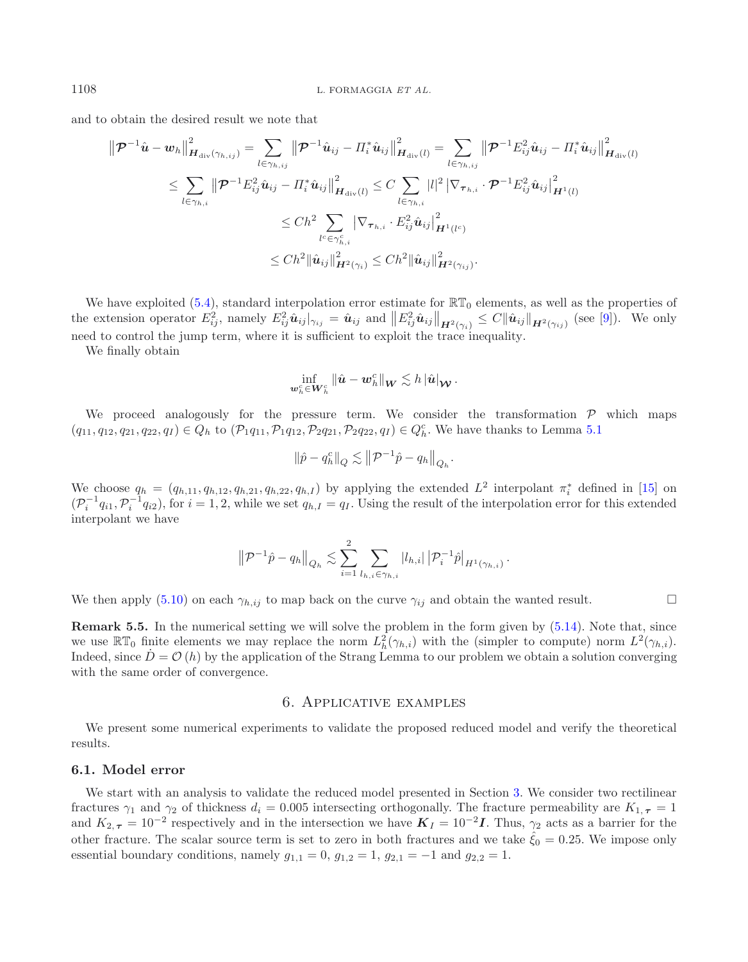and to obtain the desired result we note that

$$
\|\mathcal{P}^{-1}\hat{\mathbf{u}} - \mathbf{w}_{h}\|_{\mathbf{H}_{\text{div}}(\gamma_{h,ij})}^{2} = \sum_{l \in \gamma_{h,ij}} \|\mathcal{P}^{-1}\hat{\mathbf{u}}_{ij} - \Pi_{i}^{*}\hat{\mathbf{u}}_{ij}\|_{\mathbf{H}_{\text{div}}(l)}^{2} = \sum_{l \in \gamma_{h,ij}} \|\mathcal{P}^{-1}E_{ij}^{2}\hat{\mathbf{u}}_{ij} - \Pi_{i}^{*}\hat{\mathbf{u}}_{ij}\|_{\mathbf{H}_{\text{div}}(l)}^{2}
$$
  

$$
\leq \sum_{l \in \gamma_{h,i}} \|\mathcal{P}^{-1}E_{ij}^{2}\hat{\mathbf{u}}_{ij} - \Pi_{i}^{*}\hat{\mathbf{u}}_{ij}\|_{\mathbf{H}_{\text{div}}(l)}^{2} \leq C \sum_{l \in \gamma_{h,i}} |l|^{2} |\nabla_{\boldsymbol{\tau}_{h,i}} \cdot \mathcal{P}^{-1}E_{ij}^{2}\hat{\mathbf{u}}_{ij}\|_{\mathbf{H}^{1}(l)}^{2}
$$
  

$$
\leq Ch^{2} \sum_{l \in \gamma_{h,i}^{c}} |\nabla_{\boldsymbol{\tau}_{h,i}} \cdot E_{ij}^{2}\hat{\mathbf{u}}_{ij}\|_{\mathbf{H}^{1}(l^{c})}^{2}
$$
  

$$
\leq Ch^{2} \|\hat{\mathbf{u}}_{ij}\|_{\mathbf{H}^{2}(\gamma_{i})}^{2} \leq Ch^{2} \|\hat{\mathbf{u}}_{ij}\|_{\mathbf{H}^{2}(\gamma_{ij})}^{2}.
$$

We have exploited [\(5.4\)](#page-14-1), standard interpolation error estimate for  $\mathbb{RT}_0$  elements, as well as the properties of the extension operator  $E_{ij}^2$ , namely  $E_{ij}^2 \hat{u}_{ij}|_{\gamma_{ij}} = \hat{u}_{ij}$  and  $||E_{ij}^2 \hat{u}_{ij}||_{H^2(\gamma_i)} \leq C ||\hat{u}_{ij}||_{H^2(\gamma_{ij})}$  (see [\[9](#page-27-20)]). We only need to control the jump term, where it is sufficient to exploit the trace inequality.

We finally obtain

$$
\inf_{\boldsymbol w_h^c \in \boldsymbol W_h^c} \|\hat{\boldsymbol u} - \boldsymbol w_h^c\|_{\boldsymbol W} \lesssim h \, |\hat{\boldsymbol u}|_{\boldsymbol {\mathcal W}}\,.
$$

We proceed analogously for the pressure term. We consider the transformation  $P$  which maps  $(q_{11}, q_{12}, q_{21}, q_{22}, q_I) \in Q_h$  to  $(\mathcal{P}_1 q_{11}, \mathcal{P}_1 q_{12}, \mathcal{P}_2 q_{21}, \mathcal{P}_2 q_{22}, q_I) \in Q_h^c$ . We have thanks to Lemma [5.1](#page-14-5)

$$
\left\|\hat{p} - q_h^c\right\|_Q \lesssim \left\|\mathcal{P}^{-1}\hat{p} - q_h\right\|_{Q_h}.
$$

We choose  $q_h = (q_{h,11}, q_{h,12}, q_{h,21}, q_{h,22}, q_{h,I})$  by applying the extended  $L^2$  interpolant  $\pi_i^*$  defined in [\[15\]](#page-27-19) on  $(\mathcal{P}_i^{-1}q_{i1},\mathcal{P}_i^{-1}q_{i2}),$  for  $i=1,2$ , while we set  $q_{h,I}=q_I$ . Using the result of the interpolation error for this extended interpolant we have

$$
\left\| \mathcal{P}^{-1}\hat{p} - q_h \right\|_{Q_h} \lesssim \sum_{i=1}^2 \sum_{l_{h,i} \in \gamma_{h,i}} |l_{h,i}| \left| \mathcal{P}^{-1}_i \hat{p} \right|_{H^1(\gamma_{h,i})}.
$$

We then apply [\(5.10\)](#page-15-0) on each  $\gamma_{h,ij}$  to map back on the curve  $\gamma_{ij}$  and obtain the wanted result.  $\Box$ 

**Remark 5.5.** In the numerical setting we will solve the problem in the form given by  $(5.14)$ . Note that, since we use  $\mathbb{RT}_0$  finite elements we may replace the norm  $L^2_h(\gamma_{h,i})$  with the (simpler to compute) norm  $L^2(\gamma_{h,i})$ . Indeed, since  $D = \mathcal{O}(h)$  by the application of the Strang Lemma to our problem we obtain a solution converging with the same order of convergence.

# 6. Applicative examples

<span id="page-19-0"></span>We present some numerical experiments to validate the proposed reduced model and verify the theoretical results.

# <span id="page-19-1"></span>**6.1. Model error**

We start with an analysis to validate the reduced model presented in Section [3.](#page-3-4) We consider two rectilinear fractures  $\gamma_1$  and  $\gamma_2$  of thickness  $d_i = 0.005$  intersecting orthogonally. The fracture permeability are  $K_{1,\tau} = 1$ and  $K_{2,\tau} = 10^{-2}$  respectively and in the intersection we have  $K_I = 10^{-2}I$ . Thus,  $\gamma_2$  acts as a barrier for the other fracture. The scalar source term is set to zero in both fractures and we take  $\hat{\xi}_0 = 0.25$ . We impose only essential boundary conditions, namely  $g_{1,1} = 0$ ,  $g_{1,2} = 1$ ,  $g_{2,1} = -1$  and  $g_{2,2} = 1$ .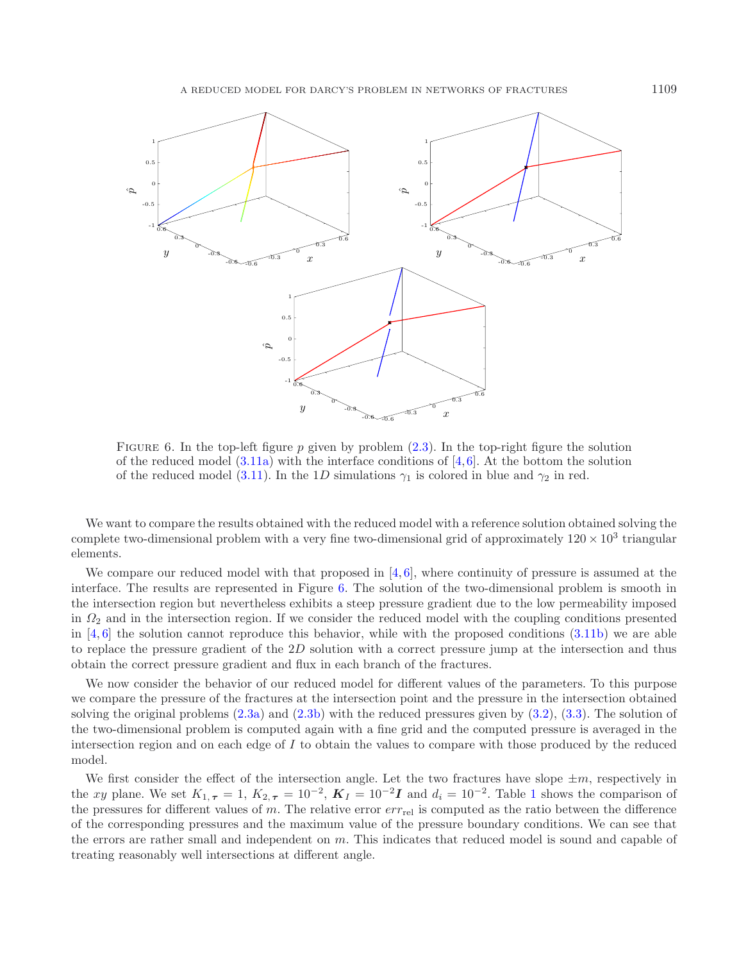<span id="page-20-0"></span>

FIGURE 6. In the top-left figure p given by problem  $(2.3)$ . In the top-right figure the solution of the reduced model  $(3.11a)$  with the interface conditions of [\[4,](#page-26-6)[6](#page-26-5)]. At the bottom the solution of the reduced model [\(3.11\)](#page-7-1). In the 1D simulations  $\gamma_1$  is colored in blue and  $\gamma_2$  in red.

We want to compare the results obtained with the reduced model with a reference solution obtained solving the complete two-dimensional problem with a very fine two-dimensional grid of approximately  $120 \times 10^3$  triangular elements.

We compare our reduced model with that proposed in  $[4, 6]$  $[4, 6]$  $[4, 6]$  $[4, 6]$ , where continuity of pressure is assumed at the interface. The results are represented in Figure [6.](#page-20-0) The solution of the two-dimensional problem is smooth in the intersection region but nevertheless exhibits a steep pressure gradient due to the low permeability imposed in  $\Omega_2$  and in the intersection region. If we consider the reduced model with the coupling conditions presented in  $[4, 6]$  $[4, 6]$  $[4, 6]$  $[4, 6]$  the solution cannot reproduce this behavior, while with the proposed conditions  $(3.11b)$  we are able to replace the pressure gradient of the 2D solution with a correct pressure jump at the intersection and thus obtain the correct pressure gradient and flux in each branch of the fractures.

We now consider the behavior of our reduced model for different values of the parameters. To this purpose we compare the pressure of the fractures at the intersection point and the pressure in the intersection obtained solving the original problems [\(2.3a\)](#page-3-2) and [\(2.3b\)](#page-3-3) with the reduced pressures given by [\(3.2\)](#page-4-0), [\(3.3\)](#page-5-2). The solution of the two-dimensional problem is computed again with a fine grid and the computed pressure is averaged in the intersection region and on each edge of  $I$  to obtain the values to compare with those produced by the reduced model.

We first consider the effect of the intersection angle. Let the two fractures have slope  $\pm m$ , respectively in the xy plane. We set  $K_{1,\tau} = 1$  $K_{1,\tau} = 1$  $K_{1,\tau} = 1$ ,  $K_{2,\tau} = 10^{-2}$ ,  $K_I = 10^{-2}I$  and  $d_i = 10^{-2}$ . Table 1 shows the comparison of the pressures for different values of  $m$ . The relative error  $err_{rel}$  is computed as the ratio between the difference of the corresponding pressures and the maximum value of the pressure boundary conditions. We can see that the errors are rather small and independent on m. This indicates that reduced model is sound and capable of treating reasonably well intersections at different angle.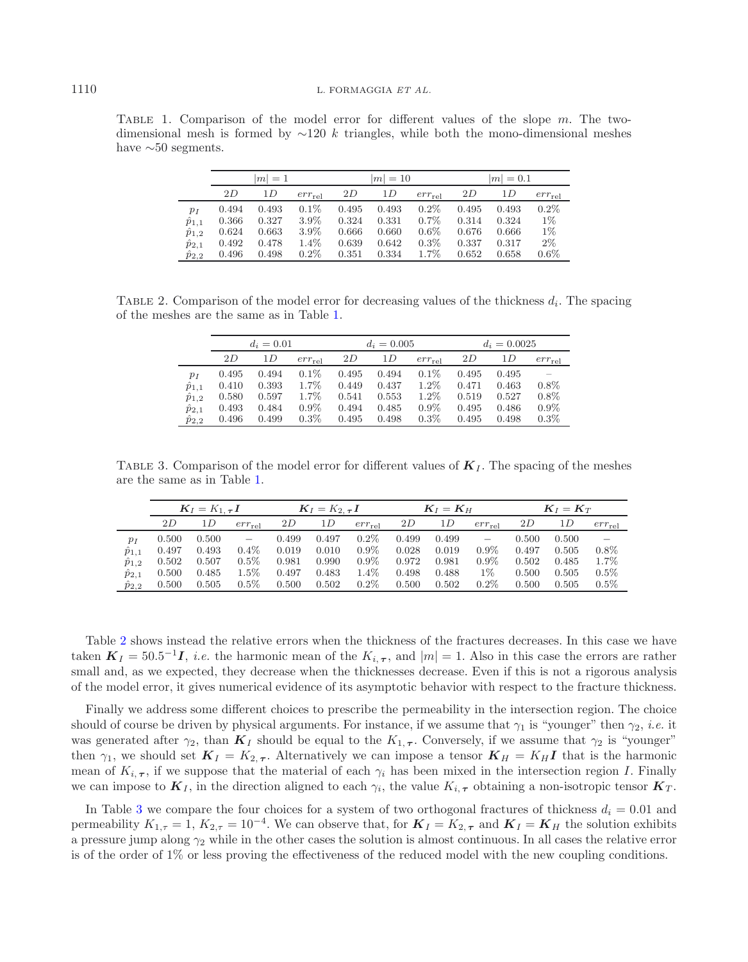<span id="page-21-1"></span><span id="page-21-0"></span>TABLE 1. Comparison of the model error for different values of the slope m. The twodimensional mesh is formed by  $\sim$ 120 k triangles, while both the mono-dimensional meshes have  $\sim 50$  segments.

|                 | $ m =1$ |       |             |       | $ m =10$ |             | $ m  = 0.1$ |       |             |
|-----------------|---------|-------|-------------|-------|----------|-------------|-------------|-------|-------------|
|                 | 2D      | 1D    | $err_{rel}$ | 2D    | 1D       | $err_{rel}$ | 2D          | 1 D   | $err_{rel}$ |
| $p_I$           | 0.494   | 0.493 | $0.1\%$     | 0.495 | 0.493    | 0.2%        | 0.495       | 0.493 | 0.2%        |
| $\hat{p}_{1,1}$ | 0.366   | 0.327 | 3.9%        | 0.324 | 0.331    | $0.7\%$     | 0.314       | 0.324 | $1\%$       |
| $\hat{p}_{1,2}$ | 0.624   | 0.663 | 3.9%        | 0.666 | 0.660    | $0.6\%$     | 0.676       | 0.666 | $1\%$       |
| $\hat{p}_{2,1}$ | 0.492   | 0.478 | 1.4%        | 0.639 | 0.642    | $0.3\%$     | 0.337       | 0.317 | $2\%$       |
| $\hat{p}_{2,2}$ | 0.496   | 0.498 | $0.2\%$     | 0.351 | 0.334    | $1.7\%$     | 0.652       | 0.658 | $0.6\%$     |

<span id="page-21-2"></span>TABLE 2. Comparison of the model error for decreasing values of the thickness  $d_i$ . The spacing of the meshes are the same as in Table [1.](#page-21-0)

|                 | $d_i = 0.01$ |       |             |       | $d_i = 0.005$ |             | $d_i = 0.0025$ |       |             |
|-----------------|--------------|-------|-------------|-------|---------------|-------------|----------------|-------|-------------|
|                 | 2D           | 1 D   | $err_{rel}$ | 2D    | 1 D           | $err_{rel}$ | 2D             | 1 D   | $err_{rel}$ |
| $p_I$           | 0.495        | 0.494 | $0.1\%$     | 0.495 | 0.494         | 0.1%        | 0.495          | 0.495 |             |
| $\hat{p}_{1,1}$ | 0.410        | 0.393 | 1.7%        | 0.449 | 0.437         | $1.2\%$     | 0.471          | 0.463 | $0.8\%$     |
| $\hat{p}_{1,2}$ | 0.580        | 0.597 | 1.7%        | 0.541 | 0.553         | $1.2\%$     | 0.519          | 0.527 | $0.8\%$     |
| $\hat{p}_{2,1}$ | 0.493        | 0.484 | $0.9\%$     | 0.494 | 0.485         | $0.9\%$     | 0.495          | 0.486 | $0.9\%$     |
| $\hat{p}_{2,2}$ | 0.496        | 0.499 | $0.3\%$     | 0.495 | 0.498         | 0.3%        | 0.495          | 0.498 | 0.3%        |

TABLE 3. Comparison of the model error for different values of  $K_I$ . The spacing of the meshes are the same as in Table [1.](#page-21-0)

|                 | $\mathbf{K}_I = K_{1,\tau}I$ |       | $K_I = K_{2,\tau}I$ |       |       | $K_I = K_H$ |       |       | $\mathbf{K}_I = \mathbf{K}_T$ |       |       |             |
|-----------------|------------------------------|-------|---------------------|-------|-------|-------------|-------|-------|-------------------------------|-------|-------|-------------|
|                 | 2D                           | 1 D   | $err_{rel}$         | 2D    | 1 D   | $err_{rel}$ | 2D    | 1 D   | $err_{rel}$                   | 2D    | 1 D   | $err_{rel}$ |
| $p_I$           | 0.500                        | 0.500 |                     | 0.499 | 0.497 | $0.2\%$     | 0.499 | 0.499 |                               | 0.500 | 0.500 |             |
| $p_{1,1}$       | 0.497                        | 0.493 | $0.4\%$             | 0.019 | 0.010 | $0.9\%$     | 0.028 | 0.019 | $0.9\%$                       | 0.497 | 0.505 | $0.8\%$     |
| $\hat{p}_{1,2}$ | 0.502                        | 0.507 | $0.5\%$             | 0.981 | 0.990 | $0.9\%$     | 0.972 | 0.981 | $0.9\%$                       | 0.502 | 0.485 | 1.7%        |
| $\hat{p}_{2,1}$ | 0.500                        | 0.485 | $1.5\%$             | 0.497 | 0.483 | 1.4%        | 0.498 | 0.488 | $1\%$                         | 0.500 | 0.505 | $0.5\%$     |
| $\hat{p}_{2,2}$ | 0.500                        | 0.505 | $0.5\%$             | 0.500 | 0.502 | $0.2\%$     | 0.500 | 0.502 | $0.2\%$                       | 0.500 | 0.505 | $0.5\%$     |

Table [2](#page-21-1) shows instead the relative errors when the thickness of the fractures decreases. In this case we have taken  $K_I = 50.5^{-1}I$ , *i.e.* the harmonic mean of the  $K_{i,\tau}$ , and  $|m| = 1$ . Also in this case the errors are rather small and, as we expected, they decrease when the thicknesses decrease. Even if this is not a rigorous analysis of the model error, it gives numerical evidence of its asymptotic behavior with respect to the fracture thickness.

Finally we address some different choices to prescribe the permeability in the intersection region. The choice should of course be driven by physical arguments. For instance, if we assume that  $\gamma_1$  is "younger" then  $\gamma_2$ , *i.e.* it was generated after  $\gamma_2$ , than  $K_I$  should be equal to the  $K_{1,\tau}$ . Conversely, if we assume that  $\gamma_2$  is "younger" then  $\gamma_1$ , we should set  $K_I = K_{2,\tau}$ . Alternatively we can impose a tensor  $K_H = K_H I$  that is the harmonic mean of  $K_{i,\tau}$ , if we suppose that the material of each  $\gamma_i$  has been mixed in the intersection region I. Finally we can impose to  $K_I$ , in the direction aligned to each  $\gamma_i$ , the value  $K_{i, \tau}$  obtaining a non-isotropic tensor  $K_T$ .

In Table [3](#page-21-2) we compare the four choices for a system of two orthogonal fractures of thickness  $d_i = 0.01$  and permeability  $K_{1,\tau} = 1$ ,  $K_{2,\tau} = 10^{-4}$ . We can observe that, for  $\mathbf{K}_I = K_{2,\tau}$  and  $\mathbf{K}_I = \mathbf{K}_H$  the solution exhibits a pressure jump along  $\gamma_2$  while in the other cases the solution is almost continuous. In all cases the relative error is of the order of 1% or less proving the effectiveness of the reduced model with the new coupling conditions.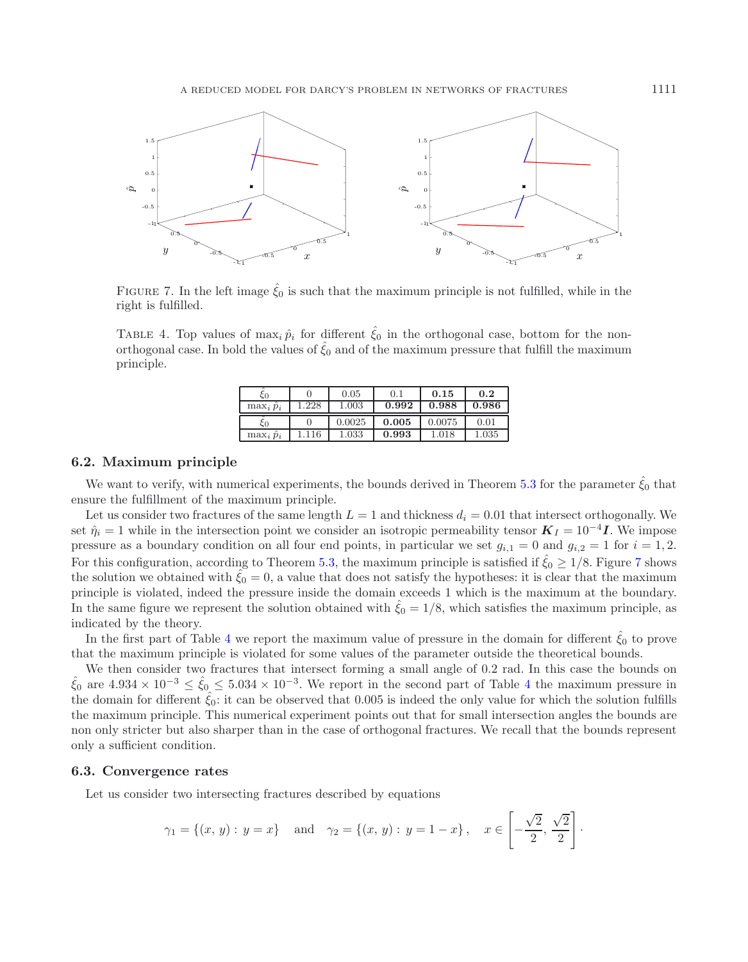<span id="page-22-1"></span><span id="page-22-0"></span>

FIGURE 7. In the left image  $\hat{\xi}_0$  is such that the maximum principle is not fulfilled, while in the right is fulfilled.

TABLE 4. Top values of  $\max_i \hat{p}_i$  for different  $\hat{\xi}_0$  in the orthogonal case, bottom for the nonorthogonal case. In bold the values of  $\hat{\xi}_0$  and of the maximum pressure that fulfill the maximum principle.

|                    |      | 0.05      | 0.1   | 0.15   | 0.2       |
|--------------------|------|-----------|-------|--------|-----------|
| $\max_i \hat{p}_i$ | .228 | 1.003     | 0.992 | 0.988  | 0.986     |
|                    |      | 0.0025    | 0.005 | 0.0075 | 0.01      |
| $\max_i \hat{p}_i$ | 16   | $1.033\,$ | 0.993 | 1.018  | $1.035\,$ |

# **6.2. Maximum principle**

We want to verify, with numerical experiments, the bounds derived in Theorem [5.3](#page-17-1) for the parameter  $\hat{\xi}_0$  that ensure the fulfillment of the maximum principle.

Let us consider two fractures of the same length  $L = 1$  and thickness  $d_i = 0.01$  that intersect orthogonally. We set  $\hat{\eta}_i = 1$  while in the intersection point we consider an isotropic permeability tensor  $K_I = 10^{-4}I$ . We impose pressure as a boundary condition on all four end points, in particular we set  $g_{i,1} = 0$  and  $g_{i,2} = 1$  for  $i = 1,2$ . For this configuration, according to Theorem [5.3,](#page-17-1) the maximum principle is satisfied if  $\zeta_0 \geq 1/8$ . Figure [7](#page-22-0) shows the solution we obtained with  $\zeta_0 = 0$ , a value that does not satisfy the hypotheses: it is clear that the maximum principle is violated, indeed the pressure inside the domain exceeds 1 which is the maximum at the boundary. In the same figure we represent the solution obtained with  $\xi_0 = 1/8$ , which satisfies the maximum principle, as indicated by the theory.

In the first part of Table [4](#page-22-1) we report the maximum value of pressure in the domain for different  $\hat{\xi}_0$  to prove that the maximum principle is violated for some values of the parameter outside the theoretical bounds.

We then consider two fractures that intersect forming a small angle of 0.2 rad. In this case the bounds on  $\hat{\xi}_0$  are  $4.934 \times 10^{-3} \le \hat{\xi}_0 \le 5.034 \times 10^{-3}$  $4.934 \times 10^{-3} \le \hat{\xi}_0 \le 5.034 \times 10^{-3}$ . We report in the second part of Table 4 the maximum pressure the domain for different  $\hat{\xi}_0$ : it can be observed that 0.005 is indeed the only value for which the solution fulfills the maximum principle. This numerical experiment points out that for small intersection angles the bounds are non only stricter but also sharper than in the case of orthogonal fractures. We recall that the bounds represent only a sufficient condition.

# **6.3. Convergence rates**

Let us consider two intersecting fractures described by equations

$$
\gamma_1 = \{(x, y) : y = x\}
$$
 and  $\gamma_2 = \{(x, y) : y = 1 - x\}$ ,  $x \in \left[-\frac{\sqrt{2}}{2}, \frac{\sqrt{2}}{2}\right]$ .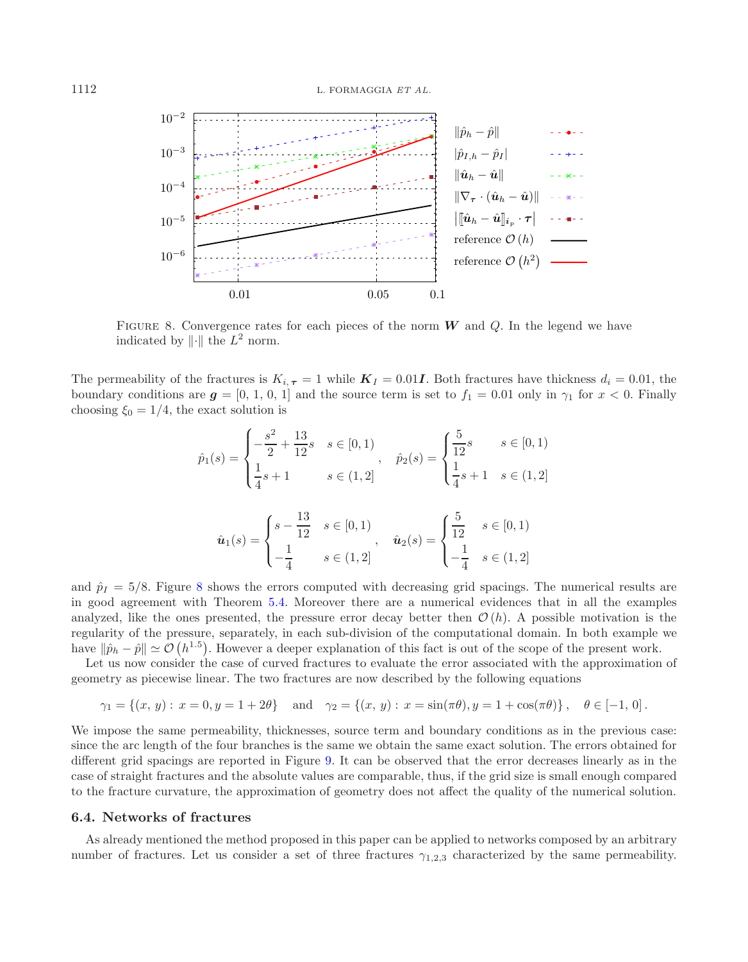<span id="page-23-0"></span>

FIGURE 8. Convergence rates for each pieces of the norm *W* and *Q*. In the legend we have indicated by  $\|\cdot\|$  the  $L^2$  norm.

The permeability of the fractures is  $K_{i, \tau} = 1$  while  $K_I = 0.01$ *I*. Both fractures have thickness  $d_i = 0.01$ , the boundary conditions are  $g = [0, 1, 0, 1]$  and the source term is set to  $f_1 = 0.01$  only in  $\gamma_1$  for  $x < 0$ . Finally choosing  $\xi_0 = 1/4$ , the exact solution is

$$
\hat{p}_1(s) = \begin{cases}\n-\frac{s^2}{2} + \frac{13}{12}s & s \in [0,1) \\
\frac{1}{4}s + 1 & s \in (1,2]\n\end{cases}, \quad \hat{p}_2(s) = \begin{cases}\n\frac{5}{12}s & s \in [0,1) \\
\frac{1}{4}s + 1 & s \in (1,2]\n\end{cases}
$$
\n
$$
\hat{u}_1(s) = \begin{cases}\ns - \frac{13}{12} & s \in [0,1) \\
-\frac{1}{4} & s \in (1,2]\n\end{cases}, \quad \hat{u}_2(s) = \begin{cases}\n\frac{5}{12} & s \in [0,1) \\
-\frac{1}{4} & s \in (1,2]\n\end{cases}
$$

and  $\hat{p}_I = 5/8$  $\hat{p}_I = 5/8$ . Figure 8 shows the errors computed with decreasing grid spacings. The numerical results are in good agreement with Theorem [5.4.](#page-18-0) Moreover there are a numerical evidences that in all the examples analyzed, like the ones presented, the pressure error decay better then  $\mathcal{O}(h)$ . A possible motivation is the regularity of the pressure, separately, in each sub-division of the computational domain. In both example we have  $\|\hat{p}_h - \hat{p}\| \simeq \mathcal{O}(h^{1.5})$ . However a deeper explanation of this fact is out of the scope of the present work.

Let us now consider the case of curved fractures to evaluate the error associated with the approximation of geometry as piecewise linear. The two fractures are now described by the following equations

$$
\gamma_1 = \{(x, y) : x = 0, y = 1 + 2\theta\}
$$
 and  $\gamma_2 = \{(x, y) : x = \sin(\pi \theta), y = 1 + \cos(\pi \theta)\}$ ,  $\theta \in [-1, 0]$ .

We impose the same permeability, thicknesses, source term and boundary conditions as in the previous case: since the arc length of the four branches is the same we obtain the same exact solution. The errors obtained for different grid spacings are reported in Figure [9.](#page-24-0) It can be observed that the error decreases linearly as in the case of straight fractures and the absolute values are comparable, thus, if the grid size is small enough compared to the fracture curvature, the approximation of geometry does not affect the quality of the numerical solution.

#### **6.4. Networks of fractures**

As already mentioned the method proposed in this paper can be applied to networks composed by an arbitrary number of fractures. Let us consider a set of three fractures  $\gamma_{1,2,3}$  characterized by the same permeability.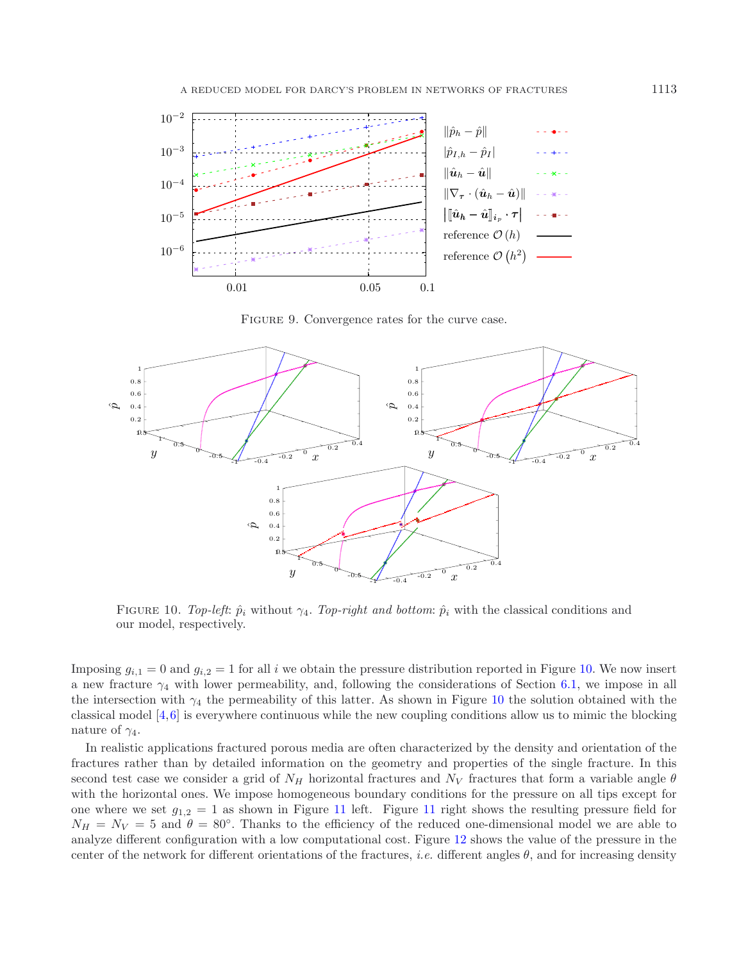<span id="page-24-0"></span>

FIGURE 9. Convergence rates for the curve case.

<span id="page-24-1"></span>

FIGURE 10. *Top-left*:  $\hat{p}_i$  without  $\gamma_4$ . *Top-right and bottom*:  $\hat{p}_i$  with the classical conditions and our model, respectively.

Imposing  $g_{i,1} = 0$  and  $g_{i,2} = 1$  for all i we obtain the pressure distribution reported in Figure [10.](#page-24-1) We now insert a new fracture  $\gamma_4$  with lower permeability, and, following the considerations of Section [6.1,](#page-19-1) we impose in all the intersection with  $\gamma_4$  the permeability of this latter. As shown in Figure [10](#page-24-1) the solution obtained with the classical model [\[4](#page-26-6)[,6](#page-26-5)] is everywhere continuous while the new coupling conditions allow us to mimic the blocking nature of  $\gamma_4$ .

In realistic applications fractured porous media are often characterized by the density and orientation of the fractures rather than by detailed information on the geometry and properties of the single fracture. In this second test case we consider a grid of  $N_H$  horizontal fractures and  $N_V$  fractures that form a variable angle  $\theta$ with the horizontal ones. We impose homogeneous boundary conditions for the pressure on all tips except for one where we set  $g_{1,2} = 1$  as shown in Figure [11](#page-25-0) left. Figure 11 right shows the resulting pressure field for  $N_H = N_V = 5$  and  $\theta = 80^\circ$ . Thanks to the efficiency of the reduced one-dimensional model we are able to analyze different configuration with a low computational cost. Figure [12](#page-25-1) shows the value of the pressure in the center of the network for different orientations of the fractures, *i.e.* different angles  $\theta$ , and for increasing density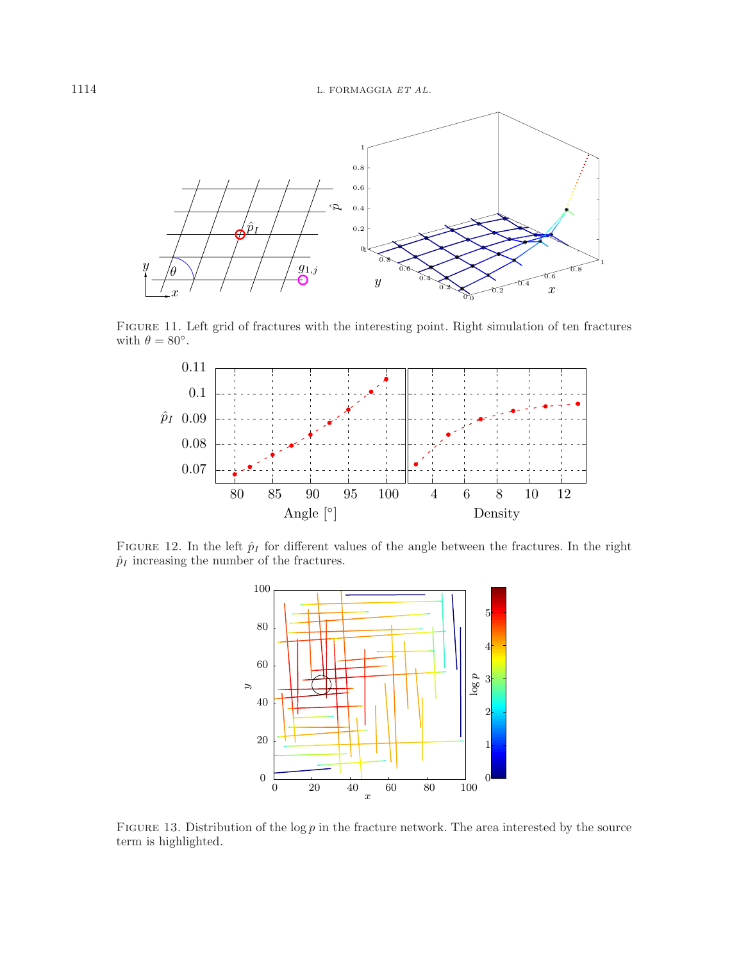<span id="page-25-0"></span>

Figure 11. Left grid of fractures with the interesting point. Right simulation of ten fractures with  $\theta = 80^{\circ}$ .

<span id="page-25-1"></span>

<span id="page-25-2"></span>FIGURE 12. In the left  $\hat{p}_I$  for different values of the angle between the fractures. In the right  $\hat p_I$  increasing the number of the fractures.



FIGURE 13. Distribution of the log  $p$  in the fracture network. The area interested by the source term is highlighted.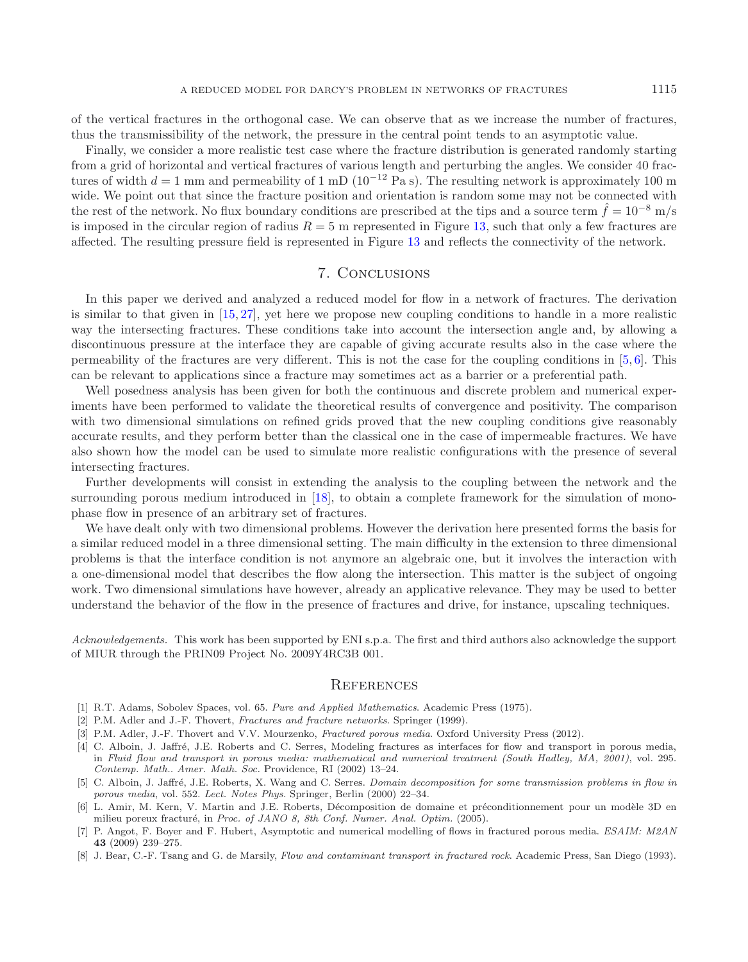of the vertical fractures in the orthogonal case. We can observe that as we increase the number of fractures, thus the transmissibility of the network, the pressure in the central point tends to an asymptotic value.

Finally, we consider a more realistic test case where the fracture distribution is generated randomly starting from a grid of horizontal and vertical fractures of various length and perturbing the angles. We consider 40 fractures of width  $d = 1$  mm and permeability of 1 mD (10<sup>-12</sup> Pa s). The resulting network is approximately 100 m wide. We point out that since the fracture position and orientation is random some may not be connected with the rest of the network. No flux boundary conditions are prescribed at the tips and a source term  $\hat{f} = 10^{-8}$  m/s is imposed in the circular region of radius  $R = 5$  m represented in Figure [13,](#page-25-2) such that only a few fractures are affected. The resulting pressure field is represented in Figure [13](#page-25-2) and reflects the connectivity of the network.

# 7. Conclusions

In this paper we derived and analyzed a reduced model for flow in a network of fractures. The derivation is similar to that given in [\[15](#page-27-19), [27\]](#page-27-6), yet here we propose new coupling conditions to handle in a more realistic way the intersecting fractures. These conditions take into account the intersection angle and, by allowing a discontinuous pressure at the interface they are capable of giving accurate results also in the case where the permeability of the fractures are very different. This is not the case for the coupling conditions in [\[5,](#page-26-3) [6\]](#page-26-5). This can be relevant to applications since a fracture may sometimes act as a barrier or a preferential path.

Well posedness analysis has been given for both the continuous and discrete problem and numerical experiments have been performed to validate the theoretical results of convergence and positivity. The comparison with two dimensional simulations on refined grids proved that the new coupling conditions give reasonably accurate results, and they perform better than the classical one in the case of impermeable fractures. We have also shown how the model can be used to simulate more realistic configurations with the presence of several intersecting fractures.

Further developments will consist in extending the analysis to the coupling between the network and the surrounding porous medium introduced in [\[18\]](#page-27-21), to obtain a complete framework for the simulation of monophase flow in presence of an arbitrary set of fractures.

We have dealt only with two dimensional problems. However the derivation here presented forms the basis for a similar reduced model in a three dimensional setting. The main difficulty in the extension to three dimensional problems is that the interface condition is not anymore an algebraic one, but it involves the interaction with a one-dimensional model that describes the flow along the intersection. This matter is the subject of ongoing work. Two dimensional simulations have however, already an applicative relevance. They may be used to better understand the behavior of the flow in the presence of fractures and drive, for instance, upscaling techniques.

*Acknowledgements.* This work has been supported by ENI s.p.a. The first and third authors also acknowledge the support of MIUR through the PRIN09 Project No. 2009Y4RC3B 001.

### **REFERENCES**

- <span id="page-26-7"></span>[1] R.T. Adams, Sobolev Spaces, vol. 65. Pure and Applied Mathematics. Academic Press (1975).
- <span id="page-26-0"></span>[2] P.M. Adler and J.-F. Thovert, Fractures and fracture networks. Springer (1999).
- <span id="page-26-1"></span>[3] P.M. Adler, J.-F. Thovert and V.V. Mourzenko, Fractured porous media. Oxford University Press (2012).
- <span id="page-26-6"></span>[4] C. Alboin, J. Jaffré, J.E. Roberts and C. Serres, Modeling fractures as interfaces for flow and transport in porous media, in Fluid flow and transport in porous media: mathematical and numerical treatment (South Hadley, MA, 2001), vol. 295. Contemp. Math.. Amer. Math. Soc. Providence, RI (2002) 13–24.
- <span id="page-26-3"></span>[5] C. Alboin, J. Jaffré, J.E. Roberts, X. Wang and C. Serres. Domain decomposition for some transmission problems in flow in porous media, vol. 552. Lect. Notes Phys. Springer, Berlin (2000) 22–34.
- <span id="page-26-5"></span>[6] L. Amir, M. Kern, V. Martin and J.E. Roberts, Décomposition de domaine et préconditionnement pour un modèle 3D en milieu poreux fracturé, in Proc. of JANO 8, 8th Conf. Numer. Anal. Optim. (2005).
- <span id="page-26-4"></span>[7] P. Angot, F. Boyer and F. Hubert, Asymptotic and numerical modelling of flows in fractured porous media. ESAIM: M2AN **43** (2009) 239–275.
- <span id="page-26-2"></span>[8] J. Bear, C.-F. Tsang and G. de Marsily, Flow and contaminant transport in fractured rock. Academic Press, San Diego (1993).